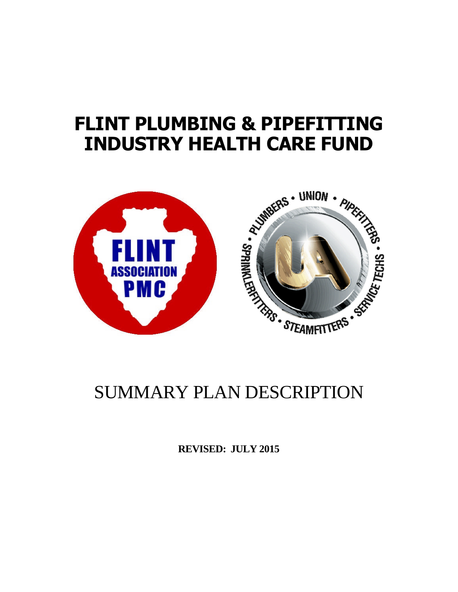# **FLINT PLUMBING & PIPEFITTING INDUSTRY HEALTH CARE FUND**



**REVISED: JULY 2015**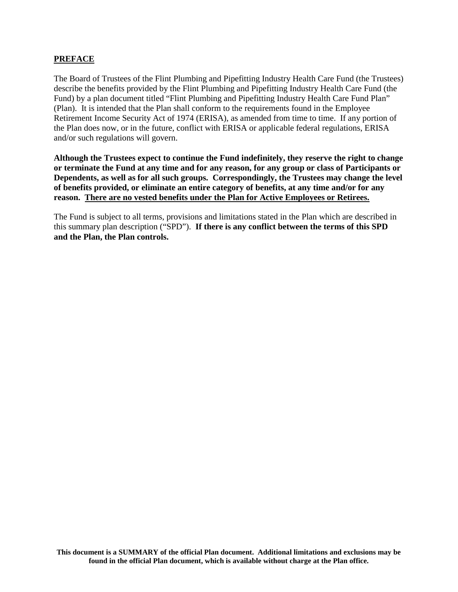#### **PREFACE**

The Board of Trustees of the Flint Plumbing and Pipefitting Industry Health Care Fund (the Trustees) describe the benefits provided by the Flint Plumbing and Pipefitting Industry Health Care Fund (the Fund) by a plan document titled "Flint Plumbing and Pipefitting Industry Health Care Fund Plan" (Plan). It is intended that the Plan shall conform to the requirements found in the Employee Retirement Income Security Act of 1974 (ERISA), as amended from time to time. If any portion of the Plan does now, or in the future, conflict with ERISA or applicable federal regulations, ERISA and/or such regulations will govern.

**Although the Trustees expect to continue the Fund indefinitely, they reserve the right to change or terminate the Fund at any time and for any reason, for any group or class of Participants or Dependents, as well as for all such groups. Correspondingly, the Trustees may change the level of benefits provided, or eliminate an entire category of benefits, at any time and/or for any reason. There are no vested benefits under the Plan for Active Employees or Retirees.**

The Fund is subject to all terms, provisions and limitations stated in the Plan which are described in this summary plan description ("SPD"). **If there is any conflict between the terms of this SPD and the Plan, the Plan controls.**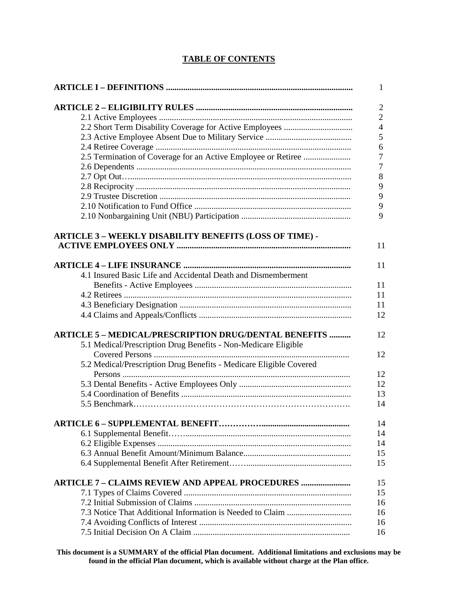# **TABLE OF CONTENTS**

|                                                                    | 1              |
|--------------------------------------------------------------------|----------------|
|                                                                    | $\overline{2}$ |
|                                                                    | $\overline{2}$ |
|                                                                    | $\overline{4}$ |
|                                                                    | 5              |
|                                                                    | 6              |
| 2.5 Termination of Coverage for an Active Employee or Retiree      | 7              |
|                                                                    | 7              |
|                                                                    | 8              |
|                                                                    |                |
|                                                                    | 9              |
|                                                                    | 9              |
|                                                                    | 9              |
|                                                                    | 9              |
|                                                                    |                |
| ARTICLE 3 - WEEKLY DISABILITY BENEFITS (LOSS OF TIME) -            | 11             |
|                                                                    |                |
|                                                                    | 11             |
| 4.1 Insured Basic Life and Accidental Death and Dismemberment      |                |
|                                                                    | 11             |
|                                                                    | 11             |
|                                                                    | 11             |
|                                                                    | 12             |
|                                                                    |                |
| <b>ARTICLE 5 – MEDICAL/PRESCRIPTION DRUG/DENTAL BENEFITS </b>      | 12             |
| 5.1 Medical/Prescription Drug Benefits - Non-Medicare Eligible     |                |
|                                                                    | 12             |
|                                                                    |                |
| 5.2 Medical/Prescription Drug Benefits - Medicare Eligible Covered |                |
|                                                                    | 12             |
|                                                                    | 12             |
|                                                                    | 13             |
|                                                                    | 14             |
|                                                                    | 14             |
|                                                                    |                |
|                                                                    | 14             |
|                                                                    | 14             |
|                                                                    | 15             |
|                                                                    | 15             |
| <b>ARTICLE 7 - CLAIMS REVIEW AND APPEAL PROCEDURES </b>            | 15             |
|                                                                    | 15             |
|                                                                    |                |
|                                                                    | 16             |
|                                                                    | 16             |
|                                                                    | 16             |
|                                                                    | 16             |
|                                                                    |                |

**This document is a SUMMARY of the official Plan document. Additional limitations and exclusions may be found in the official Plan document, which is available without charge at the Plan office.**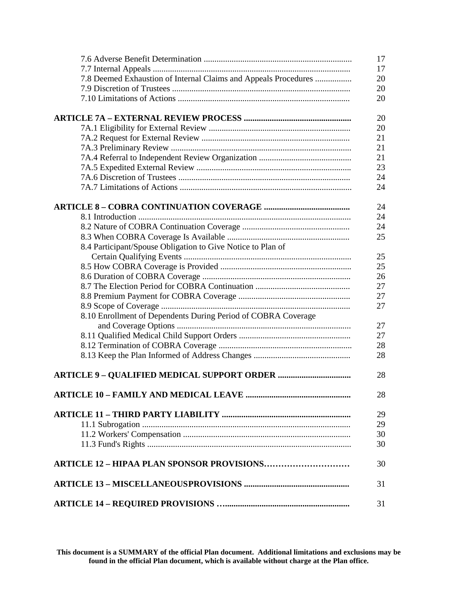|                                                                 | 17 |
|-----------------------------------------------------------------|----|
|                                                                 | 17 |
| 7.8 Deemed Exhaustion of Internal Claims and Appeals Procedures | 20 |
|                                                                 | 20 |
|                                                                 | 20 |
|                                                                 |    |
|                                                                 | 20 |
|                                                                 | 20 |
|                                                                 | 21 |
|                                                                 | 21 |
|                                                                 | 21 |
|                                                                 | 23 |
|                                                                 | 24 |
|                                                                 | 24 |
|                                                                 |    |
|                                                                 | 24 |
|                                                                 | 24 |
|                                                                 | 24 |
|                                                                 | 25 |
| 8.4 Participant/Spouse Obligation to Give Notice to Plan of     |    |
|                                                                 | 25 |
|                                                                 | 25 |
|                                                                 | 26 |
|                                                                 | 27 |
|                                                                 | 27 |
|                                                                 | 27 |
| 8.10 Enrollment of Dependents During Period of COBRA Coverage   |    |
|                                                                 | 27 |
|                                                                 | 27 |
|                                                                 | 28 |
|                                                                 | 28 |
|                                                                 |    |
|                                                                 | 28 |
|                                                                 | 28 |
|                                                                 |    |
|                                                                 | 29 |
|                                                                 | 29 |
|                                                                 | 30 |
|                                                                 | 30 |
| <b>ARTICLE 12 - HIPAA PLAN SPONSOR PROVISIONS</b>               | 30 |
|                                                                 | 31 |
|                                                                 | 31 |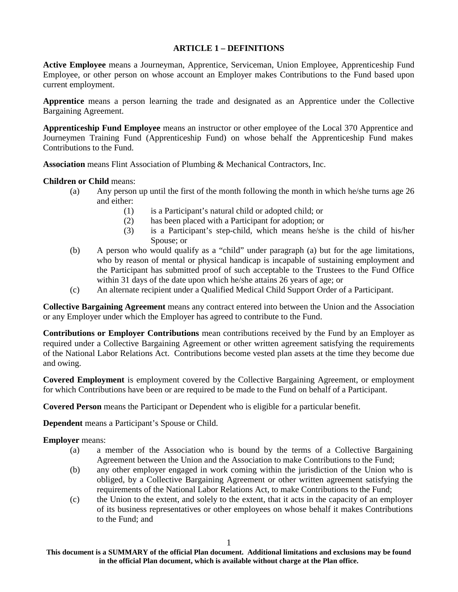#### **ARTICLE 1 – DEFINITIONS**

**Active Employee** means a Journeyman, Apprentice, Serviceman, Union Employee, Apprenticeship Fund Employee, or other person on whose account an Employer makes Contributions to the Fund based upon current employment.

**Apprentice** means a person learning the trade and designated as an Apprentice under the Collective Bargaining Agreement.

**Apprenticeship Fund Employee** means an instructor or other employee of the Local 370 Apprentice and Journeymen Training Fund (Apprenticeship Fund) on whose behalf the Apprenticeship Fund makes Contributions to the Fund.

**Association** means Flint Association of Plumbing & Mechanical Contractors, Inc.

**Children or Child** means:

- (a) Any person up until the first of the month following the month in which he/she turns age 26 and either:
	- (1) is a Participant's natural child or adopted child; or
	- (2) has been placed with a Participant for adoption; or
	- (3) is a Participant's step-child, which means he/she is the child of his/her Spouse; or
- (b) A person who would qualify as a "child" under paragraph (a) but for the age limitations, who by reason of mental or physical handicap is incapable of sustaining employment and the Participant has submitted proof of such acceptable to the Trustees to the Fund Office within 31 days of the date upon which he/she attains 26 years of age; or
- (c) An alternate recipient under a Qualified Medical Child Support Order of a Participant.

**Collective Bargaining Agreement** means any contract entered into between the Union and the Association or any Employer under which the Employer has agreed to contribute to the Fund.

**Contributions or Employer Contributions** mean contributions received by the Fund by an Employer as required under a Collective Bargaining Agreement or other written agreement satisfying the requirements of the National Labor Relations Act. Contributions become vested plan assets at the time they become due and owing.

**Covered Employment** is employment covered by the Collective Bargaining Agreement, or employment for which Contributions have been or are required to be made to the Fund on behalf of a Participant.

**Covered Person** means the Participant or Dependent who is eligible for a particular benefit.

**Dependent** means a Participant's Spouse or Child.

**Employer** means:

- (a) a member of the Association who is bound by the terms of a Collective Bargaining Agreement between the Union and the Association to make Contributions to the Fund;
- (b) any other employer engaged in work coming within the jurisdiction of the Union who is obliged, by a Collective Bargaining Agreement or other written agreement satisfying the requirements of the National Labor Relations Act, to make Contributions to the Fund;
- (c) the Union to the extent, and solely to the extent, that it acts in the capacity of an employer of its business representatives or other employees on whose behalf it makes Contributions to the Fund; and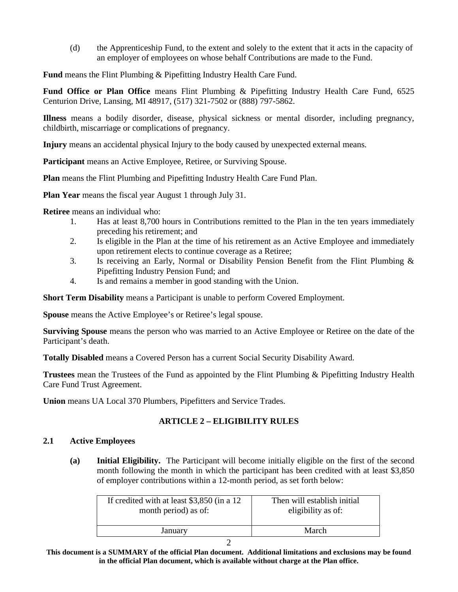(d) the Apprenticeship Fund, to the extent and solely to the extent that it acts in the capacity of an employer of employees on whose behalf Contributions are made to the Fund.

**Fund** means the Flint Plumbing & Pipefitting Industry Health Care Fund.

**Fund Office or Plan Office** means Flint Plumbing & Pipefitting Industry Health Care Fund, 6525 Centurion Drive, Lansing, MI 48917, (517) 321-7502 or (888) 797-5862.

**Illness** means a bodily disorder, disease, physical sickness or mental disorder, including pregnancy, childbirth, miscarriage or complications of pregnancy.

**Injury** means an accidental physical Injury to the body caused by unexpected external means.

**Participant** means an Active Employee, Retiree, or Surviving Spouse.

**Plan** means the Flint Plumbing and Pipefitting Industry Health Care Fund Plan.

**Plan Year** means the fiscal year August 1 through July 31.

**Retiree** means an individual who:

- 1. Has at least 8,700 hours in Contributions remitted to the Plan in the ten years immediately preceding his retirement; and
- 2. Is eligible in the Plan at the time of his retirement as an Active Employee and immediately upon retirement elects to continue coverage as a Retiree;
- 3. Is receiving an Early, Normal or Disability Pension Benefit from the Flint Plumbing & Pipefitting Industry Pension Fund; and
- 4. Is and remains a member in good standing with the Union.

**Short Term Disability** means a Participant is unable to perform Covered Employment.

**Spouse** means the Active Employee's or Retiree's legal spouse.

**Surviving Spouse** means the person who was married to an Active Employee or Retiree on the date of the Participant's death.

**Totally Disabled** means a Covered Person has a current Social Security Disability Award.

**Trustees** mean the Trustees of the Fund as appointed by the Flint Plumbing & Pipefitting Industry Health Care Fund Trust Agreement.

**Union** means UA Local 370 Plumbers, Pipefitters and Service Trades.

# **ARTICLE 2 – ELIGIBILITY RULES**

#### **2.1 Active Employees**

**(a) Initial Eligibility.** The Participant will become initially eligible on the first of the second month following the month in which the participant has been credited with at least \$3,850 of employer contributions within a 12-month period, as set forth below:

| If credited with at least \$3,850 (in a 12) | Then will establish initial |
|---------------------------------------------|-----------------------------|
| month period) as of:                        | eligibility as of:          |
| January                                     | March                       |

**This document is a SUMMARY of the official Plan document. Additional limitations and exclusions may be found in the official Plan document, which is available without charge at the Plan office.**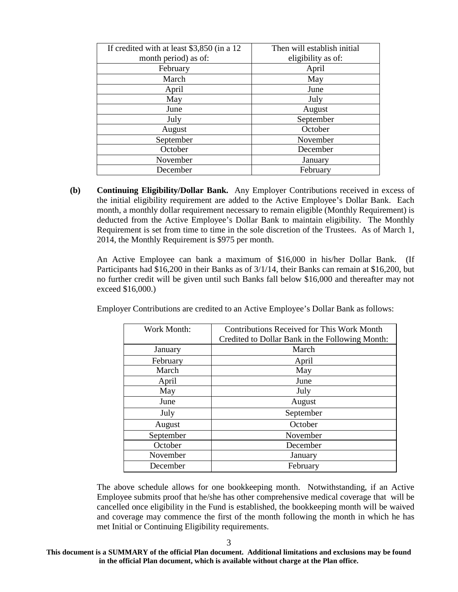| If credited with at least \$3,850 (in a 12 | Then will establish initial |
|--------------------------------------------|-----------------------------|
| month period) as of:                       | eligibility as of:          |
| February                                   | April                       |
| March                                      | May                         |
| April                                      | June                        |
| May                                        | July                        |
| June                                       | August                      |
| July                                       | September                   |
| August                                     | October                     |
| September                                  | November                    |
| October                                    | December                    |
| November                                   | January                     |
| December                                   | February                    |

**(b) Continuing Eligibility/Dollar Bank.** Any Employer Contributions received in excess of the initial eligibility requirement are added to the Active Employee's Dollar Bank. Each month, a monthly dollar requirement necessary to remain eligible (Monthly Requirement) is deducted from the Active Employee's Dollar Bank to maintain eligibility. The Monthly Requirement is set from time to time in the sole discretion of the Trustees. As of March 1, 2014, the Monthly Requirement is \$975 per month.

An Active Employee can bank a maximum of \$16,000 in his/her Dollar Bank. (If Participants had \$16,200 in their Banks as of 3/1/14, their Banks can remain at \$16,200, but no further credit will be given until such Banks fall below \$16,000 and thereafter may not exceed \$16,000.)

Employer Contributions are credited to an Active Employee's Dollar Bank as follows:

| Work Month: | <b>Contributions Received for This Work Month</b> |
|-------------|---------------------------------------------------|
|             | Credited to Dollar Bank in the Following Month:   |
|             |                                                   |
| January     | March                                             |
| February    | April                                             |
| March       | May                                               |
| April       | June                                              |
| May         | July                                              |
| June        | August                                            |
| July        | September                                         |
| August      | October                                           |
| September   | November                                          |
| October     | December                                          |
| November    | January                                           |
| December    | February                                          |

The above schedule allows for one bookkeeping month. Notwithstanding, if an Active Employee submits proof that he/she has other comprehensive medical coverage that will be cancelled once eligibility in the Fund is established, the bookkeeping month will be waived and coverage may commence the first of the month following the month in which he has met Initial or Continuing Eligibility requirements.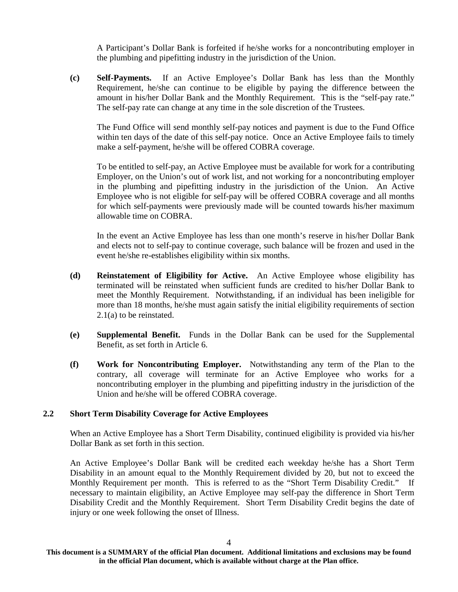A Participant's Dollar Bank is forfeited if he/she works for a noncontributing employer in the plumbing and pipefitting industry in the jurisdiction of the Union.

**(c) Self-Payments.** If an Active Employee's Dollar Bank has less than the Monthly Requirement, he/she can continue to be eligible by paying the difference between the amount in his/her Dollar Bank and the Monthly Requirement. This is the "self-pay rate." The self-pay rate can change at any time in the sole discretion of the Trustees.

The Fund Office will send monthly self-pay notices and payment is due to the Fund Office within ten days of the date of this self-pay notice. Once an Active Employee fails to timely make a self-payment, he/she will be offered COBRA coverage.

To be entitled to self-pay, an Active Employee must be available for work for a contributing Employer, on the Union's out of work list, and not working for a noncontributing employer in the plumbing and pipefitting industry in the jurisdiction of the Union. An Active Employee who is not eligible for self-pay will be offered COBRA coverage and all months for which self-payments were previously made will be counted towards his/her maximum allowable time on COBRA.

In the event an Active Employee has less than one month's reserve in his/her Dollar Bank and elects not to self-pay to continue coverage, such balance will be frozen and used in the event he/she re-establishes eligibility within six months.

- **(d) Reinstatement of Eligibility for Active.** An Active Employee whose eligibility has terminated will be reinstated when sufficient funds are credited to his/her Dollar Bank to meet the Monthly Requirement. Notwithstanding, if an individual has been ineligible for more than 18 months, he/she must again satisfy the initial eligibility requirements of section 2.1(a) to be reinstated.
- **(e) Supplemental Benefit.** Funds in the Dollar Bank can be used for the Supplemental Benefit, as set forth in Article 6.
- **(f) Work for Noncontributing Employer.** Notwithstanding any term of the Plan to the contrary, all coverage will terminate for an Active Employee who works for a noncontributing employer in the plumbing and pipefitting industry in the jurisdiction of the Union and he/she will be offered COBRA coverage.

#### **2.2 Short Term Disability Coverage for Active Employees**

When an Active Employee has a Short Term Disability, continued eligibility is provided via his/her Dollar Bank as set forth in this section.

An Active Employee's Dollar Bank will be credited each weekday he/she has a Short Term Disability in an amount equal to the Monthly Requirement divided by 20, but not to exceed the Monthly Requirement per month. This is referred to as the "Short Term Disability Credit." If necessary to maintain eligibility, an Active Employee may self-pay the difference in Short Term Disability Credit and the Monthly Requirement. Short Term Disability Credit begins the date of injury or one week following the onset of Illness.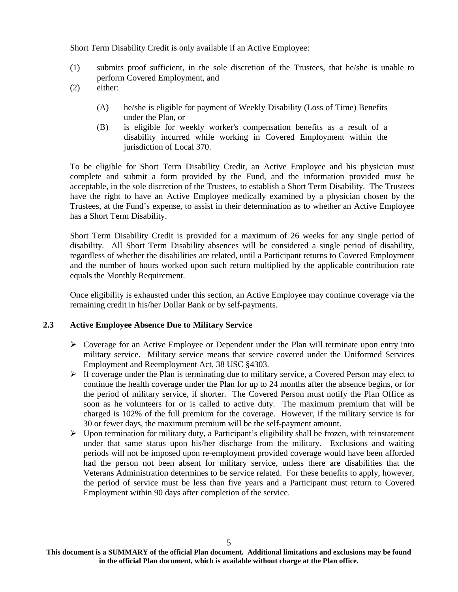Short Term Disability Credit is only available if an Active Employee:

- (1) submits proof sufficient, in the sole discretion of the Trustees, that he/she is unable to perform Covered Employment, and
- (2) either:
	- (A) he/she is eligible for payment of Weekly Disability (Loss of Time) Benefits under the Plan, or
	- (B) is eligible for weekly worker's compensation benefits as a result of a disability incurred while working in Covered Employment within the jurisdiction of Local 370.

To be eligible for Short Term Disability Credit, an Active Employee and his physician must complete and submit a form provided by the Fund, and the information provided must be acceptable, in the sole discretion of the Trustees, to establish a Short Term Disability. The Trustees have the right to have an Active Employee medically examined by a physician chosen by the Trustees, at the Fund's expense, to assist in their determination as to whether an Active Employee has a Short Term Disability.

Short Term Disability Credit is provided for a maximum of 26 weeks for any single period of disability. All Short Term Disability absences will be considered a single period of disability, regardless of whether the disabilities are related, until a Participant returns to Covered Employment and the number of hours worked upon such return multiplied by the applicable contribution rate equals the Monthly Requirement.

Once eligibility is exhausted under this section, an Active Employee may continue coverage via the remaining credit in his/her Dollar Bank or by self-payments.

#### **2.3 Active Employee Absence Due to Military Service**

- $\triangleright$  Coverage for an Active Employee or Dependent under the Plan will terminate upon entry into military service. Military service means that service covered under the Uniformed Services Employment and Reemployment Act, 38 USC §4303.
- $\triangleright$  If coverage under the Plan is terminating due to military service, a Covered Person may elect to continue the health coverage under the Plan for up to 24 months after the absence begins, or for the period of military service, if shorter. The Covered Person must notify the Plan Office as soon as he volunteers for or is called to active duty. The maximum premium that will be charged is 102% of the full premium for the coverage. However, if the military service is for 30 or fewer days, the maximum premium will be the self-payment amount.
- $\triangleright$  Upon termination for military duty, a Participant's eligibility shall be frozen, with reinstatement under that same status upon his/her discharge from the military. Exclusions and waiting periods will not be imposed upon re-employment provided coverage would have been afforded had the person not been absent for military service, unless there are disabilities that the Veterans Administration determines to be service related. For these benefits to apply, however, the period of service must be less than five years and a Participant must return to Covered Employment within 90 days after completion of the service.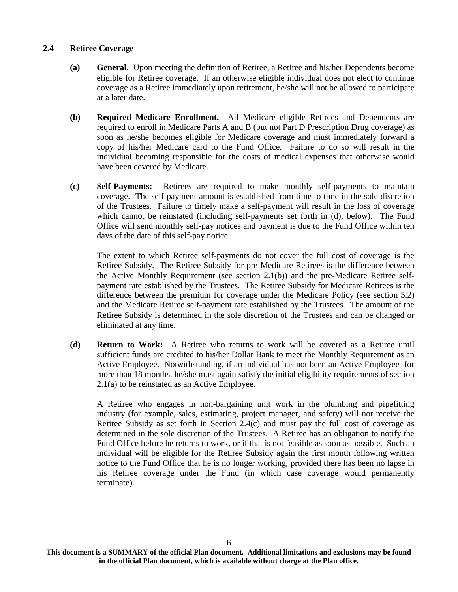#### **2.4 Retiree Coverage**

- **(a) General.** Upon meeting the definition of Retiree, a Retiree and his/her Dependents become eligible for Retiree coverage. If an otherwise eligible individual does not elect to continue coverage as a Retiree immediately upon retirement, he/she will not be allowed to participate at a later date.
- **(b) Required Medicare Enrollment.** All Medicare eligible Retirees and Dependents are required to enroll in Medicare Parts A and B (but not Part D Prescription Drug coverage) as soon as he/she becomes eligible for Medicare coverage and must immediately forward a copy of his/her Medicare card to the Fund Office. Failure to do so will result in the individual becoming responsible for the costs of medical expenses that otherwise would have been covered by Medicare.
- **(c) Self-Payments:** Retirees are required to make monthly self-payments to maintain coverage. The self-payment amount is established from time to time in the sole discretion of the Trustees. Failure to timely make a self-payment will result in the loss of coverage which cannot be reinstated (including self-payments set forth in (d), below). The Fund Office will send monthly self-pay notices and payment is due to the Fund Office within ten days of the date of this self-pay notice.

The extent to which Retiree self-payments do not cover the full cost of coverage is the Retiree Subsidy. The Retiree Subsidy for pre-Medicare Retirees is the difference between the Active Monthly Requirement (see section 2.1(b)) and the pre-Medicare Retiree selfpayment rate established by the Trustees. The Retiree Subsidy for Medicare Retirees is the difference between the premium for coverage under the Medicare Policy (see section 5.2) and the Medicare Retiree self-payment rate established by the Trustees. The amount of the Retiree Subsidy is determined in the sole discretion of the Trustees and can be changed or eliminated at any time.

**(d) Return to Work:** A Retiree who returns to work will be covered as a Retiree until sufficient funds are credited to his/her Dollar Bank to meet the Monthly Requirement as an Active Employee. Notwithstanding, if an individual has not been an Active Employee for more than 18 months, he/she must again satisfy the initial eligibility requirements of section 2.1(a) to be reinstated as an Active Employee.

A Retiree who engages in non-bargaining unit work in the plumbing and pipefitting industry (for example, sales, estimating, project manager, and safety) will not receive the Retiree Subsidy as set forth in Section 2.4(c) and must pay the full cost of coverage as determined in the sole discretion of the Trustees. A Retiree has an obligation to notify the Fund Office before he returns to work, or if that is not feasible as soon as possible. Such an individual will be eligible for the Retiree Subsidy again the first month following written notice to the Fund Office that he is no longer working, provided there has been no lapse in his Retiree coverage under the Fund (in which case coverage would permanently terminate).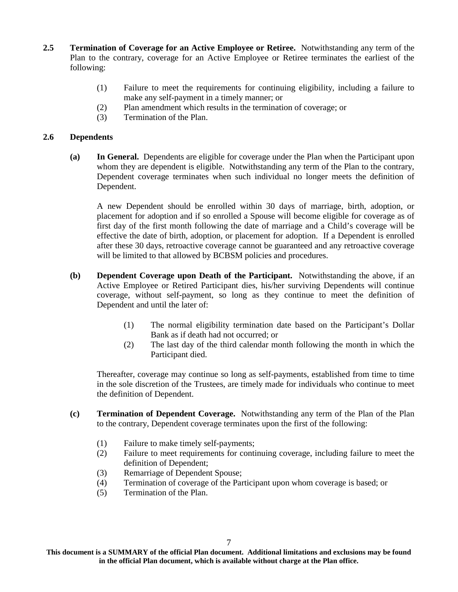- **2.5 Termination of Coverage for an Active Employee or Retiree.** Notwithstanding any term of the Plan to the contrary, coverage for an Active Employee or Retiree terminates the earliest of the following:
	- (1) Failure to meet the requirements for continuing eligibility, including a failure to make any self-payment in a timely manner; or
	- (2) Plan amendment which results in the termination of coverage; or
	- (3) Termination of the Plan.

#### **2.6 Dependents**

**(a) In General.** Dependents are eligible for coverage under the Plan when the Participant upon whom they are dependent is eligible. Notwithstanding any term of the Plan to the contrary, Dependent coverage terminates when such individual no longer meets the definition of Dependent.

A new Dependent should be enrolled within 30 days of marriage, birth, adoption, or placement for adoption and if so enrolled a Spouse will become eligible for coverage as of first day of the first month following the date of marriage and a Child's coverage will be effective the date of birth, adoption, or placement for adoption. If a Dependent is enrolled after these 30 days, retroactive coverage cannot be guaranteed and any retroactive coverage will be limited to that allowed by BCBSM policies and procedures.

- **(b) Dependent Coverage upon Death of the Participant.** Notwithstanding the above, if an Active Employee or Retired Participant dies, his/her surviving Dependents will continue coverage, without self-payment, so long as they continue to meet the definition of Dependent and until the later of:
	- (1) The normal eligibility termination date based on the Participant's Dollar Bank as if death had not occurred; or
	- (2) The last day of the third calendar month following the month in which the Participant died.

Thereafter, coverage may continue so long as self-payments, established from time to time in the sole discretion of the Trustees, are timely made for individuals who continue to meet the definition of Dependent.

- **(c) Termination of Dependent Coverage.** Notwithstanding any term of the Plan of the Plan to the contrary, Dependent coverage terminates upon the first of the following:
	- (1) Failure to make timely self-payments;
	- (2) Failure to meet requirements for continuing coverage, including failure to meet the definition of Dependent;
	- (3) Remarriage of Dependent Spouse;
	- (4) Termination of coverage of the Participant upon whom coverage is based; or
	- (5) Termination of the Plan.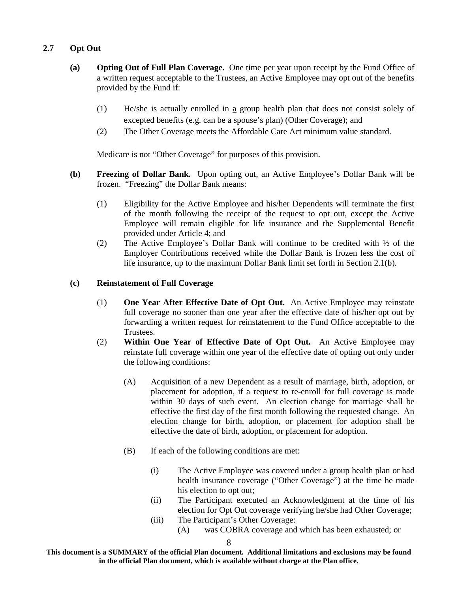# **2.7 Opt Out**

- **(a) Opting Out of Full Plan Coverage.** One time per year upon receipt by the Fund Office of a written request acceptable to the Trustees, an Active Employee may opt out of the benefits provided by the Fund if:
	- (1) He/she is actually enrolled in a group health plan that does not consist solely of excepted benefits (e.g. can be a spouse's plan) (Other Coverage); and
	- (2) The Other Coverage meets the Affordable Care Act minimum value standard.

Medicare is not "Other Coverage" for purposes of this provision.

- **(b) Freezing of Dollar Bank.** Upon opting out, an Active Employee's Dollar Bank will be frozen. "Freezing" the Dollar Bank means:
	- (1) Eligibility for the Active Employee and his/her Dependents will terminate the first of the month following the receipt of the request to opt out, except the Active Employee will remain eligible for life insurance and the Supplemental Benefit provided under Article 4; and
	- (2) The Active Employee's Dollar Bank will continue to be credited with ½ of the Employer Contributions received while the Dollar Bank is frozen less the cost of life insurance, up to the maximum Dollar Bank limit set forth in Section 2.1(b).

#### **(c) Reinstatement of Full Coverage**

- (1) **One Year After Effective Date of Opt Out.** An Active Employee may reinstate full coverage no sooner than one year after the effective date of his/her opt out by forwarding a written request for reinstatement to the Fund Office acceptable to the Trustees.
- (2) **Within One Year of Effective Date of Opt Out.** An Active Employee may reinstate full coverage within one year of the effective date of opting out only under the following conditions:
	- (A) Acquisition of a new Dependent as a result of marriage, birth, adoption, or placement for adoption, if a request to re-enroll for full coverage is made within 30 days of such event. An election change for marriage shall be effective the first day of the first month following the requested change. An election change for birth, adoption, or placement for adoption shall be effective the date of birth, adoption, or placement for adoption.
	- (B) If each of the following conditions are met:
		- (i) The Active Employee was covered under a group health plan or had health insurance coverage ("Other Coverage") at the time he made his election to opt out;
		- (ii) The Participant executed an Acknowledgment at the time of his election for Opt Out coverage verifying he/she had Other Coverage;
		- (iii) The Participant's Other Coverage:
			- (A) was COBRA coverage and which has been exhausted; or

**This document is a SUMMARY of the official Plan document. Additional limitations and exclusions may be found in the official Plan document, which is available without charge at the Plan office.**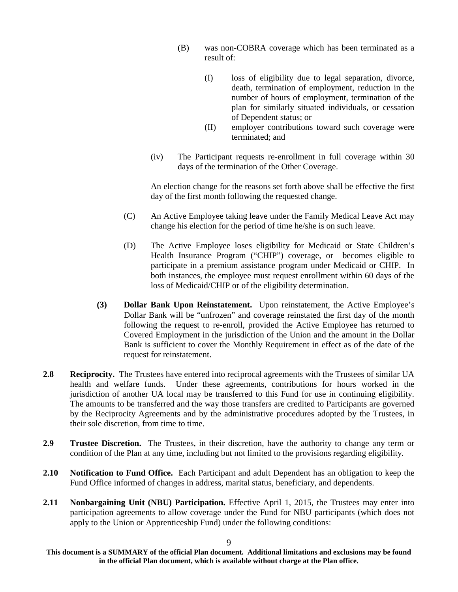- (B) was non-COBRA coverage which has been terminated as a result of:
	- (I) loss of eligibility due to legal separation, divorce, death, termination of employment, reduction in the number of hours of employment, termination of the plan for similarly situated individuals, or cessation of Dependent status; or
	- (II) employer contributions toward such coverage were terminated; and
- (iv) The Participant requests re-enrollment in full coverage within 30 days of the termination of the Other Coverage.

An election change for the reasons set forth above shall be effective the first day of the first month following the requested change.

- (C) An Active Employee taking leave under the Family Medical Leave Act may change his election for the period of time he/she is on such leave.
- (D) The Active Employee loses eligibility for Medicaid or State Children's Health Insurance Program ("CHIP") coverage, or becomes eligible to participate in a premium assistance program under Medicaid or CHIP. In both instances, the employee must request enrollment within 60 days of the loss of Medicaid/CHIP or of the eligibility determination.
- **(3) Dollar Bank Upon Reinstatement.** Upon reinstatement, the Active Employee's Dollar Bank will be "unfrozen" and coverage reinstated the first day of the month following the request to re-enroll, provided the Active Employee has returned to Covered Employment in the jurisdiction of the Union and the amount in the Dollar Bank is sufficient to cover the Monthly Requirement in effect as of the date of the request for reinstatement.
- **2.8** Reciprocity. The Trustees have entered into reciprocal agreements with the Trustees of similar UA health and welfare funds. Under these agreements, contributions for hours worked in the jurisdiction of another UA local may be transferred to this Fund for use in continuing eligibility. The amounts to be transferred and the way those transfers are credited to Participants are governed by the Reciprocity Agreements and by the administrative procedures adopted by the Trustees, in their sole discretion, from time to time.
- **2.9 Trustee Discretion.** The Trustees, in their discretion, have the authority to change any term or condition of the Plan at any time, including but not limited to the provisions regarding eligibility.
- **2.10 Notification to Fund Office.** Each Participant and adult Dependent has an obligation to keep the Fund Office informed of changes in address, marital status, beneficiary, and dependents.
- **2.11 Nonbargaining Unit (NBU) Participation.** Effective April 1, 2015, the Trustees may enter into participation agreements to allow coverage under the Fund for NBU participants (which does not apply to the Union or Apprenticeship Fund) under the following conditions:

**This document is a SUMMARY of the official Plan document. Additional limitations and exclusions may be found in the official Plan document, which is available without charge at the Plan office.**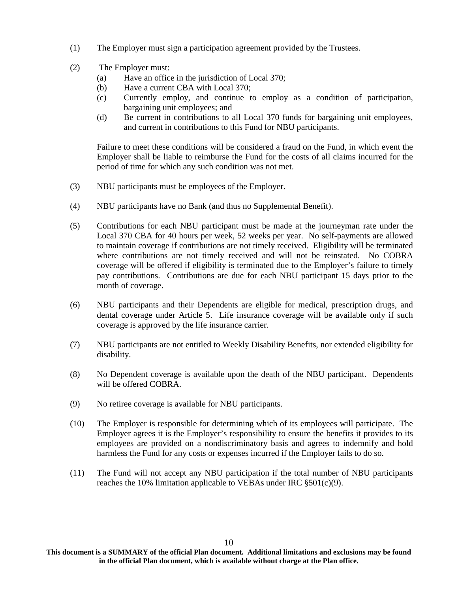- (1) The Employer must sign a participation agreement provided by the Trustees.
- (2) The Employer must:
	- (a) Have an office in the jurisdiction of Local 370;
	- (b) Have a current CBA with Local 370;
	- (c) Currently employ, and continue to employ as a condition of participation, bargaining unit employees; and
	- (d) Be current in contributions to all Local 370 funds for bargaining unit employees, and current in contributions to this Fund for NBU participants.

Failure to meet these conditions will be considered a fraud on the Fund, in which event the Employer shall be liable to reimburse the Fund for the costs of all claims incurred for the period of time for which any such condition was not met.

- (3) NBU participants must be employees of the Employer.
- (4) NBU participants have no Bank (and thus no Supplemental Benefit).
- (5) Contributions for each NBU participant must be made at the journeyman rate under the Local 370 CBA for 40 hours per week, 52 weeks per year. No self-payments are allowed to maintain coverage if contributions are not timely received. Eligibility will be terminated where contributions are not timely received and will not be reinstated. No COBRA coverage will be offered if eligibility is terminated due to the Employer's failure to timely pay contributions. Contributions are due for each NBU participant 15 days prior to the month of coverage.
- (6) NBU participants and their Dependents are eligible for medical, prescription drugs, and dental coverage under Article 5. Life insurance coverage will be available only if such coverage is approved by the life insurance carrier.
- (7) NBU participants are not entitled to Weekly Disability Benefits, nor extended eligibility for disability.
- (8) No Dependent coverage is available upon the death of the NBU participant. Dependents will be offered COBRA.
- (9) No retiree coverage is available for NBU participants.
- (10) The Employer is responsible for determining which of its employees will participate. The Employer agrees it is the Employer's responsibility to ensure the benefits it provides to its employees are provided on a nondiscriminatory basis and agrees to indemnify and hold harmless the Fund for any costs or expenses incurred if the Employer fails to do so.
- (11) The Fund will not accept any NBU participation if the total number of NBU participants reaches the 10% limitation applicable to VEBAs under IRC  $\S 501(c)(9)$ .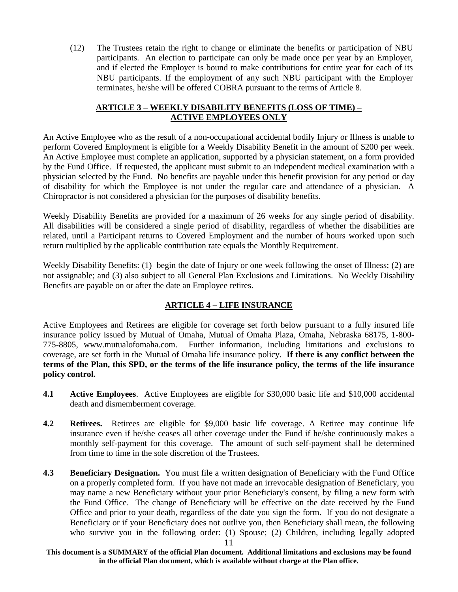(12) The Trustees retain the right to change or eliminate the benefits or participation of NBU participants. An election to participate can only be made once per year by an Employer, and if elected the Employer is bound to make contributions for entire year for each of its NBU participants. If the employment of any such NBU participant with the Employer terminates, he/she will be offered COBRA pursuant to the terms of Article 8.

### **ARTICLE 3 – WEEKLY DISABILITY BENEFITS (LOSS OF TIME) – ACTIVE EMPLOYEES ONLY**

An Active Employee who as the result of a non-occupational accidental bodily Injury or Illness is unable to perform Covered Employment is eligible for a Weekly Disability Benefit in the amount of \$200 per week. An Active Employee must complete an application, supported by a physician statement, on a form provided by the Fund Office. If requested, the applicant must submit to an independent medical examination with a physician selected by the Fund. No benefits are payable under this benefit provision for any period or day of disability for which the Employee is not under the regular care and attendance of a physician. A Chiropractor is not considered a physician for the purposes of disability benefits.

Weekly Disability Benefits are provided for a maximum of 26 weeks for any single period of disability. All disabilities will be considered a single period of disability, regardless of whether the disabilities are related, until a Participant returns to Covered Employment and the number of hours worked upon such return multiplied by the applicable contribution rate equals the Monthly Requirement.

Weekly Disability Benefits: (1) begin the date of Injury or one week following the onset of Illness; (2) are not assignable; and (3) also subject to all General Plan Exclusions and Limitations. No Weekly Disability Benefits are payable on or after the date an Employee retires.

# **ARTICLE 4 – LIFE INSURANCE**

Active Employees and Retirees are eligible for coverage set forth below pursuant to a fully insured life insurance policy issued by Mutual of Omaha, Mutual of Omaha Plaza, Omaha, Nebraska 68175, 1-800- 775-8805, www.mutualofomaha.com. Further information, including limitations and exclusions to coverage, are set forth in the Mutual of Omaha life insurance policy. **If there is any conflict between the terms of the Plan, this SPD, or the terms of the life insurance policy, the terms of the life insurance policy control.**

- **4.1 Active Employees**. Active Employees are eligible for \$30,000 basic life and \$10,000 accidental death and dismemberment coverage.
- **4.2 Retirees.** Retirees are eligible for \$9,000 basic life coverage. A Retiree may continue life insurance even if he/she ceases all other coverage under the Fund if he/she continuously makes a monthly self-payment for this coverage. The amount of such self-payment shall be determined from time to time in the sole discretion of the Trustees.
- **4.3 Beneficiary Designation.** You must file a written designation of Beneficiary with the Fund Office on a properly completed form. If you have not made an irrevocable designation of Beneficiary, you may name a new Beneficiary without your prior Beneficiary's consent, by filing a new form with the Fund Office. The change of Beneficiary will be effective on the date received by the Fund Office and prior to your death, regardless of the date you sign the form. If you do not designate a Beneficiary or if your Beneficiary does not outlive you, then Beneficiary shall mean, the following who survive you in the following order: (1) Spouse; (2) Children, including legally adopted

**This document is a SUMMARY of the official Plan document. Additional limitations and exclusions may be found in the official Plan document, which is available without charge at the Plan office.**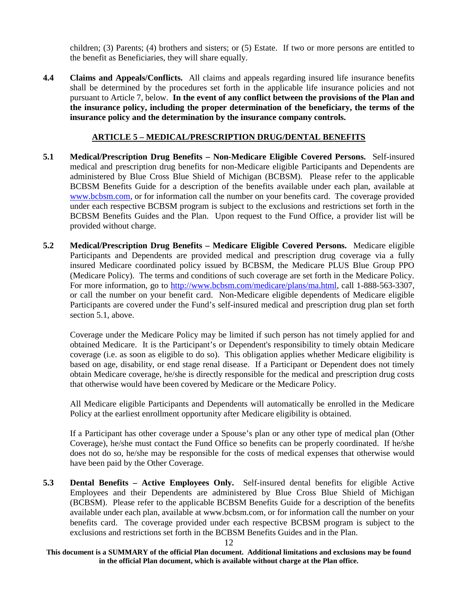children; (3) Parents; (4) brothers and sisters; or (5) Estate. If two or more persons are entitled to the benefit as Beneficiaries, they will share equally.

**4.4 Claims and Appeals/Conflicts.** All claims and appeals regarding insured life insurance benefits shall be determined by the procedures set forth in the applicable life insurance policies and not pursuant to Article 7, below. **In the event of any conflict between the provisions of the Plan and the insurance policy, including the proper determination of the beneficiary, the terms of the insurance policy and the determination by the insurance company controls.**

### **ARTICLE 5 – MEDICAL/PRESCRIPTION DRUG/DENTAL BENEFITS**

- **5.1 Medical/Prescription Drug Benefits Non-Medicare Eligible Covered Persons.** Self-insured medical and prescription drug benefits for non-Medicare eligible Participants and Dependents are administered by Blue Cross Blue Shield of Michigan (BCBSM). Please refer to the applicable BCBSM Benefits Guide for a description of the benefits available under each plan, available at www.bcbsm.com, or for information call the number on your benefits card. The coverage provided under each respective BCBSM program is subject to the exclusions and restrictions set forth in the BCBSM Benefits Guides and the Plan. Upon request to the Fund Office, a provider list will be provided without charge.
- **5.2 Medical/Prescription Drug Benefits Medicare Eligible Covered Persons.** Medicare eligible Participants and Dependents are provided medical and prescription drug coverage via a fully insured Medicare coordinated policy issued by BCBSM, the Medicare PLUS Blue Group PPO (Medicare Policy). The terms and conditions of such coverage are set forth in the Medicare Policy. For more information, go to http://www.bcbsm.com/medicare/plans/ma.html, call 1-888-563-3307, or call the number on your benefit card. Non-Medicare eligible dependents of Medicare eligible Participants are covered under the Fund's self-insured medical and prescription drug plan set forth section 5.1, above.

Coverage under the Medicare Policy may be limited if such person has not timely applied for and obtained Medicare. It is the Participant's or Dependent's responsibility to timely obtain Medicare coverage (i.e. as soon as eligible to do so). This obligation applies whether Medicare eligibility is based on age, disability, or end stage renal disease. If a Participant or Dependent does not timely obtain Medicare coverage, he/she is directly responsible for the medical and prescription drug costs that otherwise would have been covered by Medicare or the Medicare Policy.

All Medicare eligible Participants and Dependents will automatically be enrolled in the Medicare Policy at the earliest enrollment opportunity after Medicare eligibility is obtained.

If a Participant has other coverage under a Spouse's plan or any other type of medical plan (Other Coverage), he/she must contact the Fund Office so benefits can be properly coordinated. If he/she does not do so, he/she may be responsible for the costs of medical expenses that otherwise would have been paid by the Other Coverage.

**5.3 Dental Benefits – Active Employees Only.** Self-insured dental benefits for eligible Active Employees and their Dependents are administered by Blue Cross Blue Shield of Michigan (BCBSM). Please refer to the applicable BCBSM Benefits Guide for a description of the benefits available under each plan, available at www.bcbsm.com, or for information call the number on your benefits card. The coverage provided under each respective BCBSM program is subject to the exclusions and restrictions set forth in the BCBSM Benefits Guides and in the Plan.

**This document is a SUMMARY of the official Plan document. Additional limitations and exclusions may be found in the official Plan document, which is available without charge at the Plan office.**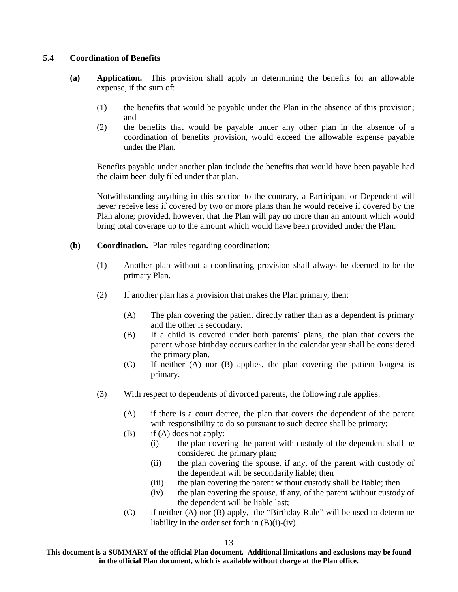#### **5.4 Coordination of Benefits**

- **(a) Application.** This provision shall apply in determining the benefits for an allowable expense, if the sum of:
	- (1) the benefits that would be payable under the Plan in the absence of this provision; and
	- (2) the benefits that would be payable under any other plan in the absence of a coordination of benefits provision, would exceed the allowable expense payable under the Plan.

Benefits payable under another plan include the benefits that would have been payable had the claim been duly filed under that plan.

Notwithstanding anything in this section to the contrary, a Participant or Dependent will never receive less if covered by two or more plans than he would receive if covered by the Plan alone; provided, however, that the Plan will pay no more than an amount which would bring total coverage up to the amount which would have been provided under the Plan.

- **(b) Coordination.** Plan rules regarding coordination:
	- (1) Another plan without a coordinating provision shall always be deemed to be the primary Plan.
	- (2) If another plan has a provision that makes the Plan primary, then:
		- (A) The plan covering the patient directly rather than as a dependent is primary and the other is secondary.
		- (B) If a child is covered under both parents' plans, the plan that covers the parent whose birthday occurs earlier in the calendar year shall be considered the primary plan.
		- (C) If neither (A) nor (B) applies, the plan covering the patient longest is primary.
	- (3) With respect to dependents of divorced parents, the following rule applies:
		- (A) if there is a court decree, the plan that covers the dependent of the parent with responsibility to do so pursuant to such decree shall be primary;
		- (B) if (A) does not apply:
			- (i) the plan covering the parent with custody of the dependent shall be considered the primary plan;
			- (ii) the plan covering the spouse, if any, of the parent with custody of the dependent will be secondarily liable; then
			- (iii) the plan covering the parent without custody shall be liable; then
			- (iv) the plan covering the spouse, if any, of the parent without custody of the dependent will be liable last;
		- (C) if neither (A) nor (B) apply, the "Birthday Rule" will be used to determine liability in the order set forth in (B)(i)-(iv).

**This document is a SUMMARY of the official Plan document. Additional limitations and exclusions may be found in the official Plan document, which is available without charge at the Plan office.**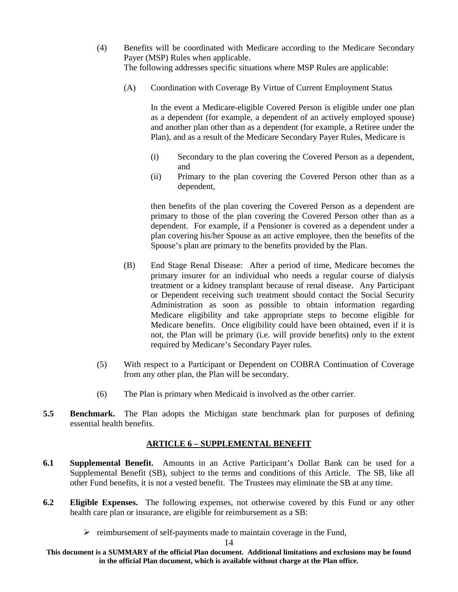- (4) Benefits will be coordinated with Medicare according to the Medicare Secondary Payer (MSP) Rules when applicable. The following addresses specific situations where MSP Rules are applicable:
	- (A) Coordination with Coverage By Virtue of Current Employment Status

In the event a Medicare-eligible Covered Person is eligible under one plan as a dependent (for example, a dependent of an actively employed spouse) and another plan other than as a dependent (for example, a Retiree under the Plan), and as a result of the Medicare Secondary Payer Rules, Medicare is

- (i) Secondary to the plan covering the Covered Person as a dependent, and
- (ii) Primary to the plan covering the Covered Person other than as a dependent,

then benefits of the plan covering the Covered Person as a dependent are primary to those of the plan covering the Covered Person other than as a dependent. For example, if a Pensioner is covered as a dependent under a plan covering his/her Spouse as an active employee, then the benefits of the Spouse's plan are primary to the benefits provided by the Plan.

- (B) End Stage Renal Disease: After a period of time, Medicare becomes the primary insurer for an individual who needs a regular course of dialysis treatment or a kidney transplant because of renal disease. Any Participant or Dependent receiving such treatment should contact the Social Security Administration as soon as possible to obtain information regarding Medicare eligibility and take appropriate steps to become eligible for Medicare benefits. Once eligibility could have been obtained, even if it is not, the Plan will be primary (i.e. will provide benefits) only to the extent required by Medicare's Secondary Payer rules.
- (5) With respect to a Participant or Dependent on COBRA Continuation of Coverage from any other plan, the Plan will be secondary.
- (6) The Plan is primary when Medicaid is involved as the other carrier.
- **5.5 Benchmark.** The Plan adopts the Michigan state benchmark plan for purposes of defining essential health benefits.

#### **ARTICLE 6 – SUPPLEMENTAL BENEFIT**

- **6.1 Supplemental Benefit.** Amounts in an Active Participant's Dollar Bank can be used for a Supplemental Benefit (SB), subject to the terms and conditions of this Article. The SB, like all other Fund benefits, it is not a vested benefit. The Trustees may eliminate the SB at any time.
- **6.2 Eligible Expenses.** The following expenses, not otherwise covered by this Fund or any other health care plan or insurance, are eligible for reimbursement as a SB:
	- $\triangleright$  reimbursement of self-payments made to maintain coverage in the Fund,

**This document is a SUMMARY of the official Plan document. Additional limitations and exclusions may be found in the official Plan document, which is available without charge at the Plan office.**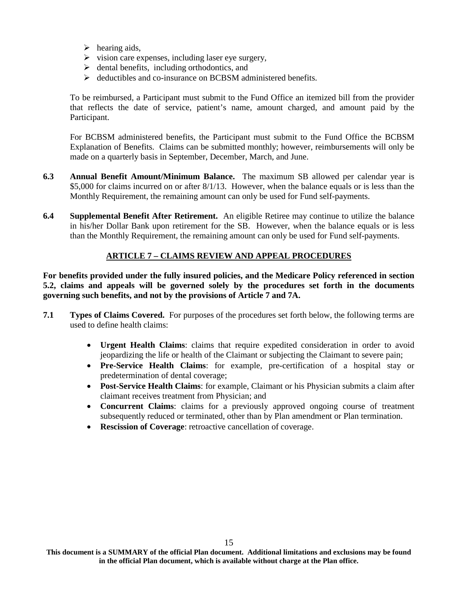- $\triangleright$  hearing aids,
- $\triangleright$  vision care expenses, including laser eye surgery,
- $\triangleright$  dental benefits, including orthodontics, and
- $\triangleright$  deductibles and co-insurance on BCBSM administered benefits.

To be reimbursed, a Participant must submit to the Fund Office an itemized bill from the provider that reflects the date of service, patient's name, amount charged, and amount paid by the Participant.

For BCBSM administered benefits, the Participant must submit to the Fund Office the BCBSM Explanation of Benefits. Claims can be submitted monthly; however, reimbursements will only be made on a quarterly basis in September, December, March, and June.

- **6.3 Annual Benefit Amount/Minimum Balance.** The maximum SB allowed per calendar year is \$5,000 for claims incurred on or after 8/1/13. However, when the balance equals or is less than the Monthly Requirement, the remaining amount can only be used for Fund self-payments.
- **6.4 Supplemental Benefit After Retirement.** An eligible Retiree may continue to utilize the balance in his/her Dollar Bank upon retirement for the SB. However, when the balance equals or is less than the Monthly Requirement, the remaining amount can only be used for Fund self-payments.

# **ARTICLE 7 – CLAIMS REVIEW AND APPEAL PROCEDURES**

**For benefits provided under the fully insured policies, and the Medicare Policy referenced in section 5.2, claims and appeals will be governed solely by the procedures set forth in the documents governing such benefits, and not by the provisions of Article 7 and 7A.**

- **7.1 Types of Claims Covered.** For purposes of the procedures set forth below, the following terms are used to define health claims:
	- **Urgent Health Claims**: claims that require expedited consideration in order to avoid jeopardizing the life or health of the Claimant or subjecting the Claimant to severe pain;
	- **Pre-Service Health Claims**: for example, pre-certification of a hospital stay or predetermination of dental coverage;
	- **Post-Service Health Claims**: for example, Claimant or his Physician submits a claim after claimant receives treatment from Physician; and
	- **Concurrent Claims**: claims for a previously approved ongoing course of treatment subsequently reduced or terminated, other than by Plan amendment or Plan termination.
	- **Rescission of Coverage**: retroactive cancellation of coverage.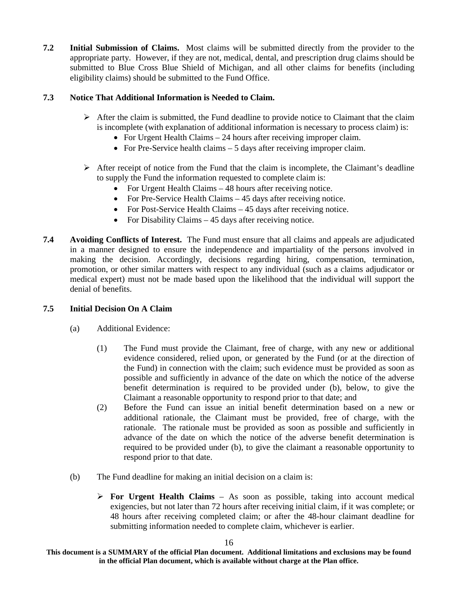**7.2 Initial Submission of Claims.** Most claims will be submitted directly from the provider to the appropriate party. However, if they are not, medical, dental, and prescription drug claims should be submitted to Blue Cross Blue Shield of Michigan, and all other claims for benefits (including eligibility claims) should be submitted to the Fund Office.

# **7.3 Notice That Additional Information is Needed to Claim.**

- $\triangleright$  After the claim is submitted, the Fund deadline to provide notice to Claimant that the claim is incomplete (with explanation of additional information is necessary to process claim) is:
	- For Urgent Health Claims 24 hours after receiving improper claim.
	- For Pre-Service health claims  $-5$  days after receiving improper claim.
- $\triangleright$  After receipt of notice from the Fund that the claim is incomplete, the Claimant's deadline to supply the Fund the information requested to complete claim is:
	- For Urgent Health Claims 48 hours after receiving notice.
	- For Pre-Service Health Claims 45 days after receiving notice.
	- For Post-Service Health Claims 45 days after receiving notice.
	- For Disability Claims  $-45$  days after receiving notice.
- **7.4 Avoiding Conflicts of Interest.** The Fund must ensure that all claims and appeals are adjudicated in a manner designed to ensure the independence and impartiality of the persons involved in making the decision. Accordingly, decisions regarding hiring, compensation, termination, promotion, or other similar matters with respect to any individual (such as a claims adjudicator or medical expert) must not be made based upon the likelihood that the individual will support the denial of benefits.

# **7.5 Initial Decision On A Claim**

- (a) Additional Evidence:
	- (1) The Fund must provide the Claimant, free of charge, with any new or additional evidence considered, relied upon, or generated by the Fund (or at the direction of the Fund) in connection with the claim; such evidence must be provided as soon as possible and sufficiently in advance of the date on which the notice of the adverse benefit determination is required to be provided under (b), below, to give the Claimant a reasonable opportunity to respond prior to that date; and
	- (2) Before the Fund can issue an initial benefit determination based on a new or additional rationale, the Claimant must be provided, free of charge, with the rationale. The rationale must be provided as soon as possible and sufficiently in advance of the date on which the notice of the adverse benefit determination is required to be provided under (b), to give the claimant a reasonable opportunity to respond prior to that date.
- (b) The Fund deadline for making an initial decision on a claim is:
	- **For Urgent Health Claims** As soon as possible, taking into account medical exigencies, but not later than 72 hours after receiving initial claim, if it was complete; or 48 hours after receiving completed claim; or after the 48-hour claimant deadline for submitting information needed to complete claim, whichever is earlier.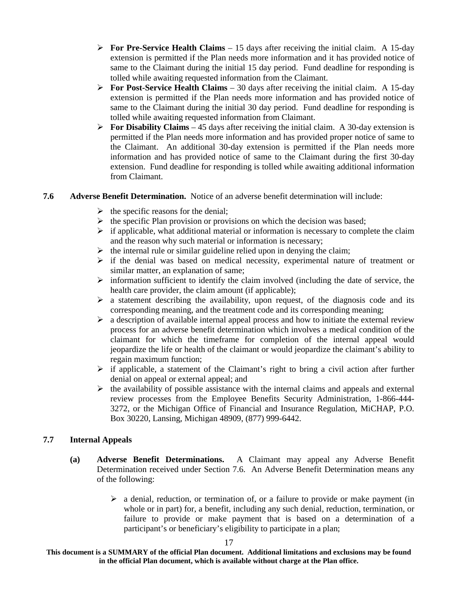- **For Pre-Service Health Claims** 15 days after receiving the initial claim. A 15-day extension is permitted if the Plan needs more information and it has provided notice of same to the Claimant during the initial 15 day period. Fund deadline for responding is tolled while awaiting requested information from the Claimant.
- **For Post-Service Health Claims** 30 days after receiving the initial claim. A 15-day extension is permitted if the Plan needs more information and has provided notice of same to the Claimant during the initial 30 day period. Fund deadline for responding is tolled while awaiting requested information from Claimant.
- **For Disability Claims** 45 days after receiving the initial claim. A 30-day extension is permitted if the Plan needs more information and has provided proper notice of same to the Claimant. An additional 30-day extension is permitted if the Plan needs more information and has provided notice of same to the Claimant during the first 30-day extension. Fund deadline for responding is tolled while awaiting additional information from Claimant.

#### **7.6 Adverse Benefit Determination.** Notice of an adverse benefit determination will include:

- $\triangleright$  the specific reasons for the denial;
- $\triangleright$  the specific Plan provision or provisions on which the decision was based;
- $\triangleright$  if applicable, what additional material or information is necessary to complete the claim and the reason why such material or information is necessary;
- $\triangleright$  the internal rule or similar guideline relied upon in denying the claim;
- $\triangleright$  if the denial was based on medical necessity, experimental nature of treatment or similar matter, an explanation of same;
- $\triangleright$  information sufficient to identify the claim involved (including the date of service, the health care provider, the claim amount (if applicable);
- $\triangleright$  a statement describing the availability, upon request, of the diagnosis code and its corresponding meaning, and the treatment code and its corresponding meaning;
- $\triangleright$  a description of available internal appeal process and how to initiate the external review process for an adverse benefit determination which involves a medical condition of the claimant for which the timeframe for completion of the internal appeal would jeopardize the life or health of the claimant or would jeopardize the claimant's ability to regain maximum function;
- $\triangleright$  if applicable, a statement of the Claimant's right to bring a civil action after further denial on appeal or external appeal; and
- $\triangleright$  the availability of possible assistance with the internal claims and appeals and external review processes from the Employee Benefits Security Administration, 1-866-444- 3272, or the Michigan Office of Financial and Insurance Regulation, MiCHAP, P.O. Box 30220, Lansing, Michigan 48909, (877) 999-6442.

#### **7.7 Internal Appeals**

- **(a) Adverse Benefit Determinations.** A Claimant may appeal any Adverse Benefit Determination received under Section 7.6. An Adverse Benefit Determination means any of the following:
	- $\triangleright$  a denial, reduction, or termination of, or a failure to provide or make payment (in whole or in part) for, a benefit, including any such denial, reduction, termination, or failure to provide or make payment that is based on a determination of a participant's or beneficiary's eligibility to participate in a plan;

**This document is a SUMMARY of the official Plan document. Additional limitations and exclusions may be found in the official Plan document, which is available without charge at the Plan office.**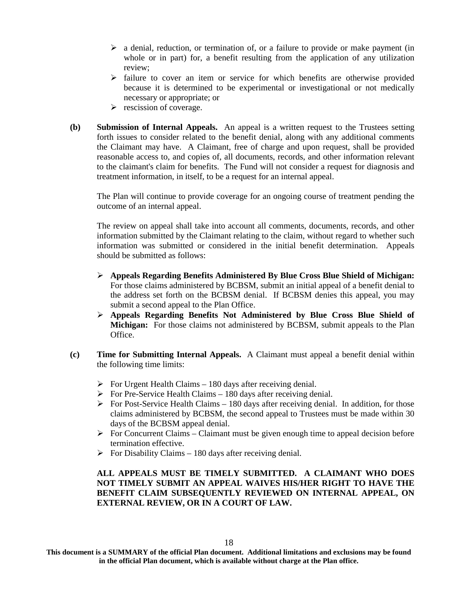- $\triangleright$  a denial, reduction, or termination of, or a failure to provide or make payment (in whole or in part) for, a benefit resulting from the application of any utilization review;
- $\triangleright$  failure to cover an item or service for which benefits are otherwise provided because it is determined to be experimental or investigational or not medically necessary or appropriate; or
- $\triangleright$  rescission of coverage.
- **(b) Submission of Internal Appeals.** An appeal is a written request to the Trustees setting forth issues to consider related to the benefit denial, along with any additional comments the Claimant may have. A Claimant, free of charge and upon request, shall be provided reasonable access to, and copies of, all documents, records, and other information relevant to the claimant's claim for benefits. The Fund will not consider a request for diagnosis and treatment information, in itself, to be a request for an internal appeal.

The Plan will continue to provide coverage for an ongoing course of treatment pending the outcome of an internal appeal.

The review on appeal shall take into account all comments, documents, records, and other information submitted by the Claimant relating to the claim, without regard to whether such information was submitted or considered in the initial benefit determination. Appeals should be submitted as follows:

- **Appeals Regarding Benefits Administered By Blue Cross Blue Shield of Michigan:** For those claims administered by BCBSM, submit an initial appeal of a benefit denial to the address set forth on the BCBSM denial. If BCBSM denies this appeal, you may submit a second appeal to the Plan Office.
- **Appeals Regarding Benefits Not Administered by Blue Cross Blue Shield of Michigan:** For those claims not administered by BCBSM, submit appeals to the Plan Office.
- **(c) Time for Submitting Internal Appeals.** A Claimant must appeal a benefit denial within the following time limits:
	- $\triangleright$  For Urgent Health Claims 180 days after receiving denial.
	- $\triangleright$  For Pre-Service Health Claims 180 days after receiving denial.
	- $\triangleright$  For Post-Service Health Claims 180 days after receiving denial. In addition, for those claims administered by BCBSM, the second appeal to Trustees must be made within 30 days of the BCBSM appeal denial.
	- $\triangleright$  For Concurrent Claims Claimant must be given enough time to appeal decision before termination effective.
	- $\triangleright$  For Disability Claims 180 days after receiving denial.

**ALL APPEALS MUST BE TIMELY SUBMITTED. A CLAIMANT WHO DOES NOT TIMELY SUBMIT AN APPEAL WAIVES HIS/HER RIGHT TO HAVE THE BENEFIT CLAIM SUBSEQUENTLY REVIEWED ON INTERNAL APPEAL, ON EXTERNAL REVIEW, OR IN A COURT OF LAW.**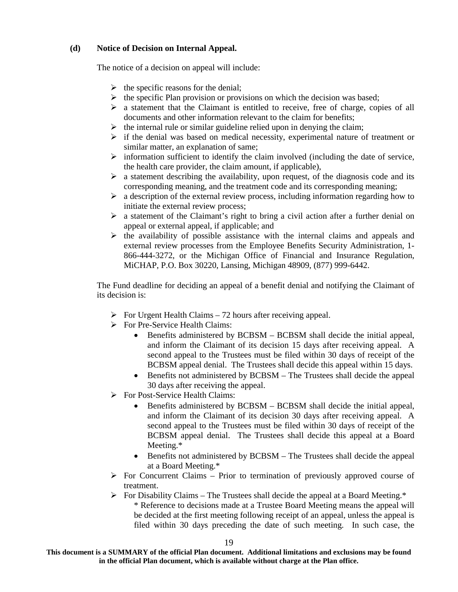#### **(d) Notice of Decision on Internal Appeal.**

The notice of a decision on appeal will include:

- $\triangleright$  the specific reasons for the denial;
- $\triangleright$  the specific Plan provision or provisions on which the decision was based;
- $\triangleright$  a statement that the Claimant is entitled to receive, free of charge, copies of all documents and other information relevant to the claim for benefits;
- $\triangleright$  the internal rule or similar guideline relied upon in denying the claim;
- $\triangleright$  if the denial was based on medical necessity, experimental nature of treatment or similar matter, an explanation of same;
- $\triangleright$  information sufficient to identify the claim involved (including the date of service, the health care provider, the claim amount, if applicable),
- $\triangleright$  a statement describing the availability, upon request, of the diagnosis code and its corresponding meaning, and the treatment code and its corresponding meaning;
- $\triangleright$  a description of the external review process, including information regarding how to initiate the external review process;
- $\triangleright$  a statement of the Claimant's right to bring a civil action after a further denial on appeal or external appeal, if applicable; and
- $\triangleright$  the availability of possible assistance with the internal claims and appeals and external review processes from the Employee Benefits Security Administration, 1- 866-444-3272, or the Michigan Office of Financial and Insurance Regulation, MiCHAP, P.O. Box 30220, Lansing, Michigan 48909, (877) 999-6442.

The Fund deadline for deciding an appeal of a benefit denial and notifying the Claimant of its decision is:

- $\triangleright$  For Urgent Health Claims 72 hours after receiving appeal.
- For Pre-Service Health Claims:
	- Benefits administered by BCBSM BCBSM shall decide the initial appeal, and inform the Claimant of its decision 15 days after receiving appeal. A second appeal to the Trustees must be filed within 30 days of receipt of the BCBSM appeal denial. The Trustees shall decide this appeal within 15 days.
	- Benefits not administered by BCBSM The Trustees shall decide the appeal 30 days after receiving the appeal.
- For Post-Service Health Claims:
	- Benefits administered by BCBSM BCBSM shall decide the initial appeal, and inform the Claimant of its decision 30 days after receiving appeal. A second appeal to the Trustees must be filed within 30 days of receipt of the BCBSM appeal denial. The Trustees shall decide this appeal at a Board Meeting.\*
	- Benefits not administered by BCBSM The Trustees shall decide the appeal at a Board Meeting.\*
- $\triangleright$  For Concurrent Claims Prior to termination of previously approved course of treatment.
- $\triangleright$  For Disability Claims The Trustees shall decide the appeal at a Board Meeting.\* \* Reference to decisions made at a Trustee Board Meeting means the appeal will be decided at the first meeting following receipt of an appeal, unless the appeal is filed within 30 days preceding the date of such meeting. In such case, the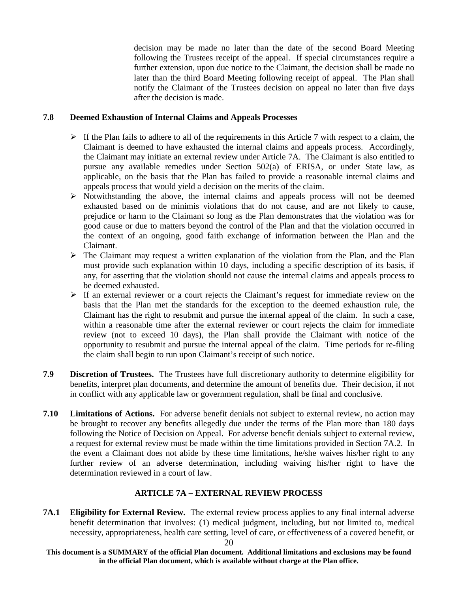decision may be made no later than the date of the second Board Meeting following the Trustees receipt of the appeal. If special circumstances require a further extension, upon due notice to the Claimant, the decision shall be made no later than the third Board Meeting following receipt of appeal. The Plan shall notify the Claimant of the Trustees decision on appeal no later than five days after the decision is made.

#### **7.8 Deemed Exhaustion of Internal Claims and Appeals Processes**

- $\triangleright$  If the Plan fails to adhere to all of the requirements in this Article 7 with respect to a claim, the Claimant is deemed to have exhausted the internal claims and appeals process. Accordingly, the Claimant may initiate an external review under Article 7A. The Claimant is also entitled to pursue any available remedies under Section 502(a) of ERISA, or under State law, as applicable, on the basis that the Plan has failed to provide a reasonable internal claims and appeals process that would yield a decision on the merits of the claim.
- $\triangleright$  Notwithstanding the above, the internal claims and appeals process will not be deemed exhausted based on de minimis violations that do not cause, and are not likely to cause, prejudice or harm to the Claimant so long as the Plan demonstrates that the violation was for good cause or due to matters beyond the control of the Plan and that the violation occurred in the context of an ongoing, good faith exchange of information between the Plan and the Claimant.
- $\triangleright$  The Claimant may request a written explanation of the violation from the Plan, and the Plan must provide such explanation within 10 days, including a specific description of its basis, if any, for asserting that the violation should not cause the internal claims and appeals process to be deemed exhausted.
- $\triangleright$  If an external reviewer or a court rejects the Claimant's request for immediate review on the basis that the Plan met the standards for the exception to the deemed exhaustion rule, the Claimant has the right to resubmit and pursue the internal appeal of the claim. In such a case, within a reasonable time after the external reviewer or court rejects the claim for immediate review (not to exceed 10 days), the Plan shall provide the Claimant with notice of the opportunity to resubmit and pursue the internal appeal of the claim. Time periods for re-filing the claim shall begin to run upon Claimant's receipt of such notice.
- **7.9 Discretion of Trustees.** The Trustees have full discretionary authority to determine eligibility for benefits, interpret plan documents, and determine the amount of benefits due. Their decision, if not in conflict with any applicable law or government regulation, shall be final and conclusive.
- **7.10 Limitations of Actions.** For adverse benefit denials not subject to external review, no action may be brought to recover any benefits allegedly due under the terms of the Plan more than 180 days following the Notice of Decision on Appeal. For adverse benefit denials subject to external review, a request for external review must be made within the time limitations provided in Section 7A.2. In the event a Claimant does not abide by these time limitations, he/she waives his/her right to any further review of an adverse determination, including waiving his/her right to have the determination reviewed in a court of law.

#### **ARTICLE 7A – EXTERNAL REVIEW PROCESS**

**7A.1 Eligibility for External Review.** The external review process applies to any final internal adverse benefit determination that involves: (1) medical judgment, including, but not limited to, medical necessity, appropriateness, health care setting, level of care, or effectiveness of a covered benefit, or

**This document is a SUMMARY of the official Plan document. Additional limitations and exclusions may be found in the official Plan document, which is available without charge at the Plan office.**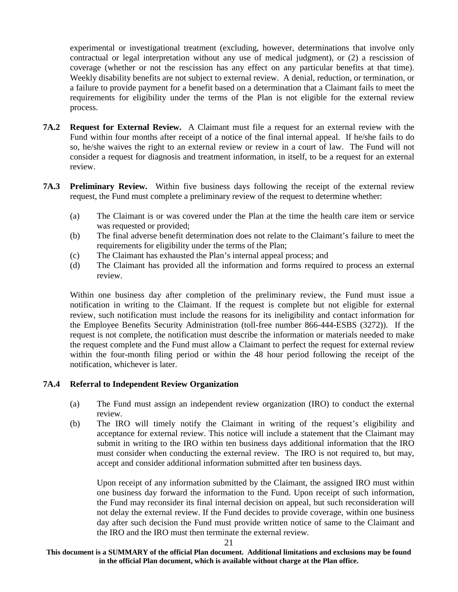experimental or investigational treatment (excluding, however, determinations that involve only contractual or legal interpretation without any use of medical judgment), or (2) a rescission of coverage (whether or not the rescission has any effect on any particular benefits at that time). Weekly disability benefits are not subject to external review. A denial, reduction, or termination, or a failure to provide payment for a benefit based on a determination that a Claimant fails to meet the requirements for eligibility under the terms of the Plan is not eligible for the external review process.

- **7A.2 Request for External Review.** A Claimant must file a request for an external review with the Fund within four months after receipt of a notice of the final internal appeal. If he/she fails to do so, he/she waives the right to an external review or review in a court of law. The Fund will not consider a request for diagnosis and treatment information, in itself, to be a request for an external review.
- **7A.3 Preliminary Review.** Within five business days following the receipt of the external review request, the Fund must complete a preliminary review of the request to determine whether:
	- (a) The Claimant is or was covered under the Plan at the time the health care item or service was requested or provided;
	- (b) The final adverse benefit determination does not relate to the Claimant's failure to meet the requirements for eligibility under the terms of the Plan;
	- (c) The Claimant has exhausted the Plan's internal appeal process; and
	- (d) The Claimant has provided all the information and forms required to process an external review.

Within one business day after completion of the preliminary review, the Fund must issue a notification in writing to the Claimant. If the request is complete but not eligible for external review, such notification must include the reasons for its ineligibility and contact information for the Employee Benefits Security Administration (toll-free number 866-444-ESBS (3272)). If the request is not complete, the notification must describe the information or materials needed to make the request complete and the Fund must allow a Claimant to perfect the request for external review within the four-month filing period or within the 48 hour period following the receipt of the notification, whichever is later.

#### **7A.4 Referral to Independent Review Organization**

- (a) The Fund must assign an independent review organization (IRO) to conduct the external review.
- (b) The IRO will timely notify the Claimant in writing of the request's eligibility and acceptance for external review. This notice will include a statement that the Claimant may submit in writing to the IRO within ten business days additional information that the IRO must consider when conducting the external review. The IRO is not required to, but may, accept and consider additional information submitted after ten business days.

Upon receipt of any information submitted by the Claimant, the assigned IRO must within one business day forward the information to the Fund. Upon receipt of such information, the Fund may reconsider its final internal decision on appeal, but such reconsideration will not delay the external review. If the Fund decides to provide coverage, within one business day after such decision the Fund must provide written notice of same to the Claimant and the IRO and the IRO must then terminate the external review.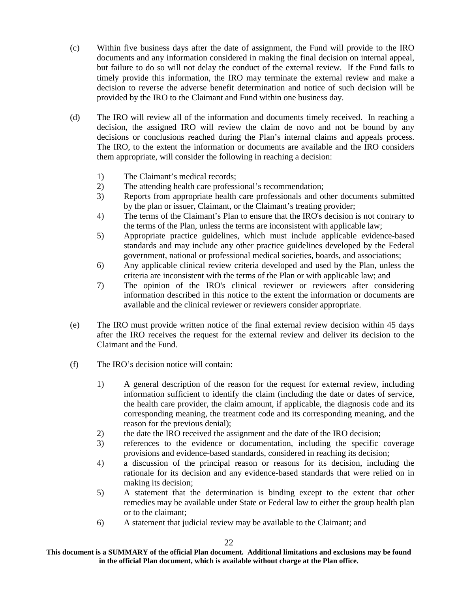- (c) Within five business days after the date of assignment, the Fund will provide to the IRO documents and any information considered in making the final decision on internal appeal, but failure to do so will not delay the conduct of the external review. If the Fund fails to timely provide this information, the IRO may terminate the external review and make a decision to reverse the adverse benefit determination and notice of such decision will be provided by the IRO to the Claimant and Fund within one business day.
- (d) The IRO will review all of the information and documents timely received. In reaching a decision, the assigned IRO will review the claim de novo and not be bound by any decisions or conclusions reached during the Plan's internal claims and appeals process. The IRO, to the extent the information or documents are available and the IRO considers them appropriate, will consider the following in reaching a decision:
	- 1) The Claimant's medical records;
	- 2) The attending health care professional's recommendation;
	- 3) Reports from appropriate health care professionals and other documents submitted by the plan or issuer, Claimant, or the Claimant's treating provider;
	- 4) The terms of the Claimant's Plan to ensure that the IRO's decision is not contrary to the terms of the Plan, unless the terms are inconsistent with applicable law;
	- 5) Appropriate practice guidelines, which must include applicable evidence-based standards and may include any other practice guidelines developed by the Federal government, national or professional medical societies, boards, and associations;
	- 6) Any applicable clinical review criteria developed and used by the Plan, unless the criteria are inconsistent with the terms of the Plan or with applicable law; and
	- 7) The opinion of the IRO's clinical reviewer or reviewers after considering information described in this notice to the extent the information or documents are available and the clinical reviewer or reviewers consider appropriate.
- (e) The IRO must provide written notice of the final external review decision within 45 days after the IRO receives the request for the external review and deliver its decision to the Claimant and the Fund.
- (f) The IRO's decision notice will contain:
	- 1) A general description of the reason for the request for external review, including information sufficient to identify the claim (including the date or dates of service, the health care provider, the claim amount, if applicable, the diagnosis code and its corresponding meaning, the treatment code and its corresponding meaning, and the reason for the previous denial);
	- 2) the date the IRO received the assignment and the date of the IRO decision;
	- 3) references to the evidence or documentation, including the specific coverage provisions and evidence-based standards, considered in reaching its decision;
	- 4) a discussion of the principal reason or reasons for its decision, including the rationale for its decision and any evidence-based standards that were relied on in making its decision;
	- 5) A statement that the determination is binding except to the extent that other remedies may be available under State or Federal law to either the group health plan or to the claimant;
	- 6) A statement that judicial review may be available to the Claimant; and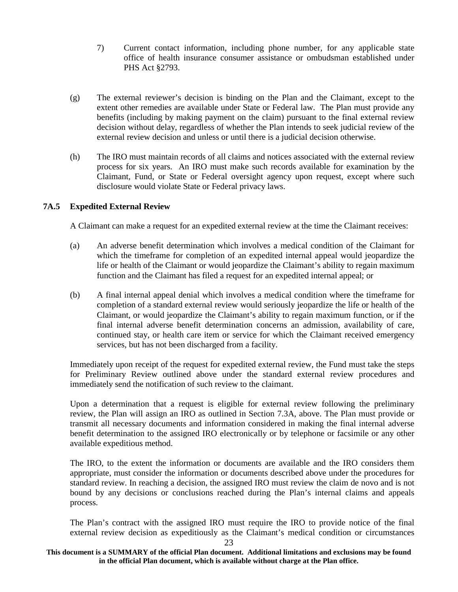- 7) Current contact information, including phone number, for any applicable state office of health insurance consumer assistance or ombudsman established under PHS Act §2793.
- (g) The external reviewer's decision is binding on the Plan and the Claimant, except to the extent other remedies are available under State or Federal law. The Plan must provide any benefits (including by making payment on the claim) pursuant to the final external review decision without delay, regardless of whether the Plan intends to seek judicial review of the external review decision and unless or until there is a judicial decision otherwise.
- (h) The IRO must maintain records of all claims and notices associated with the external review process for six years. An IRO must make such records available for examination by the Claimant, Fund, or State or Federal oversight agency upon request, except where such disclosure would violate State or Federal privacy laws.

#### **7A.5 Expedited External Review**

A Claimant can make a request for an expedited external review at the time the Claimant receives:

- (a) An adverse benefit determination which involves a medical condition of the Claimant for which the timeframe for completion of an expedited internal appeal would jeopardize the life or health of the Claimant or would jeopardize the Claimant's ability to regain maximum function and the Claimant has filed a request for an expedited internal appeal; or
- (b) A final internal appeal denial which involves a medical condition where the timeframe for completion of a standard external review would seriously jeopardize the life or health of the Claimant, or would jeopardize the Claimant's ability to regain maximum function, or if the final internal adverse benefit determination concerns an admission, availability of care, continued stay, or health care item or service for which the Claimant received emergency services, but has not been discharged from a facility.

Immediately upon receipt of the request for expedited external review, the Fund must take the steps for Preliminary Review outlined above under the standard external review procedures and immediately send the notification of such review to the claimant.

Upon a determination that a request is eligible for external review following the preliminary review, the Plan will assign an IRO as outlined in Section 7.3A, above. The Plan must provide or transmit all necessary documents and information considered in making the final internal adverse benefit determination to the assigned IRO electronically or by telephone or facsimile or any other available expeditious method.

The IRO, to the extent the information or documents are available and the IRO considers them appropriate, must consider the information or documents described above under the procedures for standard review. In reaching a decision, the assigned IRO must review the claim de novo and is not bound by any decisions or conclusions reached during the Plan's internal claims and appeals process.

The Plan's contract with the assigned IRO must require the IRO to provide notice of the final external review decision as expeditiously as the Claimant's medical condition or circumstances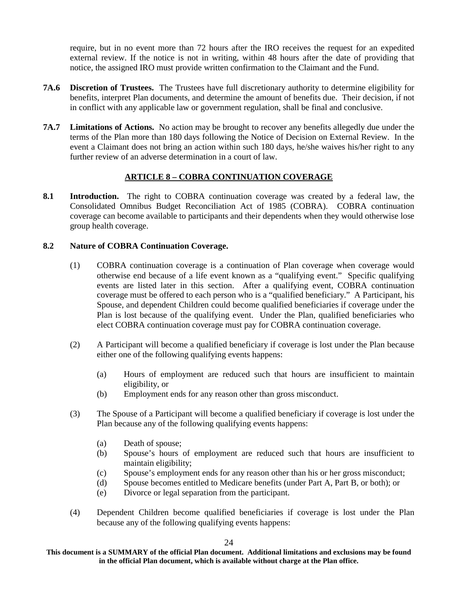require, but in no event more than 72 hours after the IRO receives the request for an expedited external review. If the notice is not in writing, within 48 hours after the date of providing that notice, the assigned IRO must provide written confirmation to the Claimant and the Fund.

- **7A.6 Discretion of Trustees.** The Trustees have full discretionary authority to determine eligibility for benefits, interpret Plan documents, and determine the amount of benefits due. Their decision, if not in conflict with any applicable law or government regulation, shall be final and conclusive.
- **7A.7 Limitations of Actions.** No action may be brought to recover any benefits allegedly due under the terms of the Plan more than 180 days following the Notice of Decision on External Review. In the event a Claimant does not bring an action within such 180 days, he/she waives his/her right to any further review of an adverse determination in a court of law.

#### **ARTICLE 8 – COBRA CONTINUATION COVERAGE**

**8.1 Introduction.** The right to COBRA continuation coverage was created by a federal law, the Consolidated Omnibus Budget Reconciliation Act of 1985 (COBRA). COBRA continuation coverage can become available to participants and their dependents when they would otherwise lose group health coverage.

#### **8.2 Nature of COBRA Continuation Coverage.**

- (1) COBRA continuation coverage is a continuation of Plan coverage when coverage would otherwise end because of a life event known as a "qualifying event." Specific qualifying events are listed later in this section. After a qualifying event, COBRA continuation coverage must be offered to each person who is a "qualified beneficiary." A Participant, his Spouse, and dependent Children could become qualified beneficiaries if coverage under the Plan is lost because of the qualifying event. Under the Plan, qualified beneficiaries who elect COBRA continuation coverage must pay for COBRA continuation coverage.
- (2) A Participant will become a qualified beneficiary if coverage is lost under the Plan because either one of the following qualifying events happens:
	- (a) Hours of employment are reduced such that hours are insufficient to maintain eligibility, or
	- (b) Employment ends for any reason other than gross misconduct.
- (3) The Spouse of a Participant will become a qualified beneficiary if coverage is lost under the Plan because any of the following qualifying events happens:
	- (a) Death of spouse;
	- (b) Spouse's hours of employment are reduced such that hours are insufficient to maintain eligibility;
	- (c) Spouse's employment ends for any reason other than his or her gross misconduct;
	- (d) Spouse becomes entitled to Medicare benefits (under Part A, Part B, or both); or
	- (e) Divorce or legal separation from the participant.
- (4) Dependent Children become qualified beneficiaries if coverage is lost under the Plan because any of the following qualifying events happens:

**This document is a SUMMARY of the official Plan document. Additional limitations and exclusions may be found in the official Plan document, which is available without charge at the Plan office.**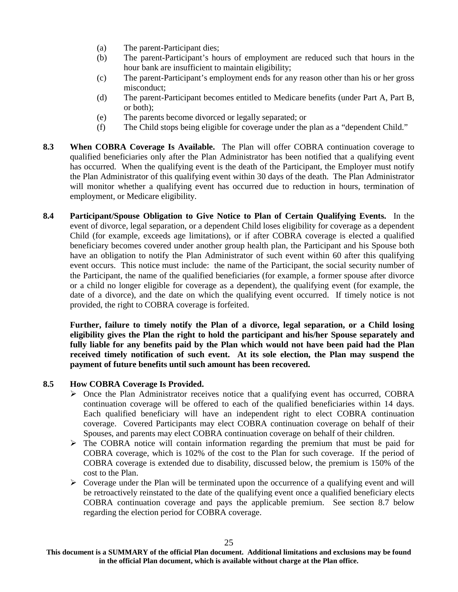- (a) The parent-Participant dies;
- (b) The parent-Participant's hours of employment are reduced such that hours in the hour bank are insufficient to maintain eligibility;
- (c) The parent-Participant's employment ends for any reason other than his or her gross misconduct;
- (d) The parent-Participant becomes entitled to Medicare benefits (under Part A, Part B, or both);
- (e) The parents become divorced or legally separated; or
- (f) The Child stops being eligible for coverage under the plan as a "dependent Child."
- **8.3 When COBRA Coverage Is Available.** The Plan will offer COBRA continuation coverage to qualified beneficiaries only after the Plan Administrator has been notified that a qualifying event has occurred. When the qualifying event is the death of the Participant, the Employer must notify the Plan Administrator of this qualifying event within 30 days of the death. The Plan Administrator will monitor whether a qualifying event has occurred due to reduction in hours, termination of employment, or Medicare eligibility.
- **8.4 Participant/Spouse Obligation to Give Notice to Plan of Certain Qualifying Events.** In the event of divorce, legal separation, or a dependent Child loses eligibility for coverage as a dependent Child (for example, exceeds age limitations), or if after COBRA coverage is elected a qualified beneficiary becomes covered under another group health plan, the Participant and his Spouse both have an obligation to notify the Plan Administrator of such event within 60 after this qualifying event occurs. This notice must include: the name of the Participant, the social security number of the Participant, the name of the qualified beneficiaries (for example, a former spouse after divorce or a child no longer eligible for coverage as a dependent), the qualifying event (for example, the date of a divorce), and the date on which the qualifying event occurred. If timely notice is not provided, the right to COBRA coverage is forfeited.

**Further, failure to timely notify the Plan of a divorce, legal separation, or a Child losing eligibility gives the Plan the right to hold the participant and his/her Spouse separately and fully liable for any benefits paid by the Plan which would not have been paid had the Plan received timely notification of such event. At its sole election, the Plan may suspend the payment of future benefits until such amount has been recovered.**

#### **8.5 How COBRA Coverage Is Provided.**

- $\triangleright$  Once the Plan Administrator receives notice that a qualifying event has occurred, COBRA continuation coverage will be offered to each of the qualified beneficiaries within 14 days. Each qualified beneficiary will have an independent right to elect COBRA continuation coverage. Covered Participants may elect COBRA continuation coverage on behalf of their Spouses, and parents may elect COBRA continuation coverage on behalf of their children.
- $\triangleright$  The COBRA notice will contain information regarding the premium that must be paid for COBRA coverage, which is 102% of the cost to the Plan for such coverage. If the period of COBRA coverage is extended due to disability, discussed below, the premium is 150% of the cost to the Plan.
- $\triangleright$  Coverage under the Plan will be terminated upon the occurrence of a qualifying event and will be retroactively reinstated to the date of the qualifying event once a qualified beneficiary elects COBRA continuation coverage and pays the applicable premium. See section 8.7 below regarding the election period for COBRA coverage.

**This document is a SUMMARY of the official Plan document. Additional limitations and exclusions may be found in the official Plan document, which is available without charge at the Plan office.**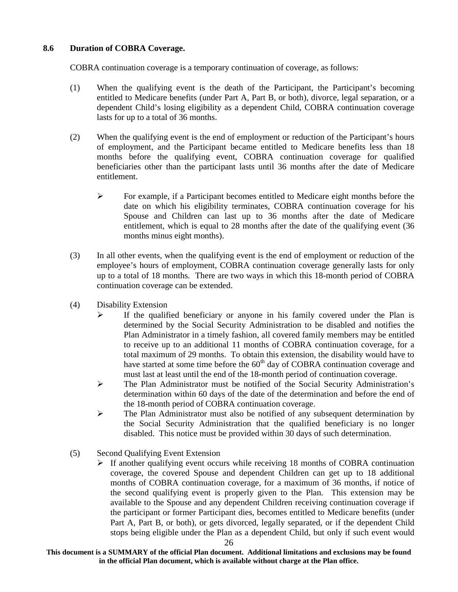#### **8.6 Duration of COBRA Coverage.**

COBRA continuation coverage is a temporary continuation of coverage, as follows:

- (1) When the qualifying event is the death of the Participant, the Participant's becoming entitled to Medicare benefits (under Part A, Part B, or both), divorce, legal separation, or a dependent Child's losing eligibility as a dependent Child, COBRA continuation coverage lasts for up to a total of 36 months.
- (2) When the qualifying event is the end of employment or reduction of the Participant's hours of employment, and the Participant became entitled to Medicare benefits less than 18 months before the qualifying event, COBRA continuation coverage for qualified beneficiaries other than the participant lasts until 36 months after the date of Medicare entitlement.
	- $\triangleright$  For example, if a Participant becomes entitled to Medicare eight months before the date on which his eligibility terminates, COBRA continuation coverage for his Spouse and Children can last up to 36 months after the date of Medicare entitlement, which is equal to 28 months after the date of the qualifying event (36 months minus eight months).
- (3) In all other events, when the qualifying event is the end of employment or reduction of the employee's hours of employment, COBRA continuation coverage generally lasts for only up to a total of 18 months. There are two ways in which this 18-month period of COBRA continuation coverage can be extended.
- (4) Disability Extension
	- $\triangleright$  If the qualified beneficiary or anyone in his family covered under the Plan is determined by the Social Security Administration to be disabled and notifies the Plan Administrator in a timely fashion, all covered family members may be entitled to receive up to an additional 11 months of COBRA continuation coverage, for a total maximum of 29 months. To obtain this extension, the disability would have to have started at some time before the  $60<sup>th</sup>$  day of COBRA continuation coverage and must last at least until the end of the 18-month period of continuation coverage.
	- $\triangleright$  The Plan Administrator must be notified of the Social Security Administration's determination within 60 days of the date of the determination and before the end of the 18-month period of COBRA continuation coverage.
	- $\triangleright$  The Plan Administrator must also be notified of any subsequent determination by the Social Security Administration that the qualified beneficiary is no longer disabled. This notice must be provided within 30 days of such determination.
- (5) Second Qualifying Event Extension
	- $\triangleright$  If another qualifying event occurs while receiving 18 months of COBRA continuation coverage, the covered Spouse and dependent Children can get up to 18 additional months of COBRA continuation coverage, for a maximum of 36 months, if notice of the second qualifying event is properly given to the Plan. This extension may be available to the Spouse and any dependent Children receiving continuation coverage if the participant or former Participant dies, becomes entitled to Medicare benefits (under Part A, Part B, or both), or gets divorced, legally separated, or if the dependent Child stops being eligible under the Plan as a dependent Child, but only if such event would

**This document is a SUMMARY of the official Plan document. Additional limitations and exclusions may be found in the official Plan document, which is available without charge at the Plan office.**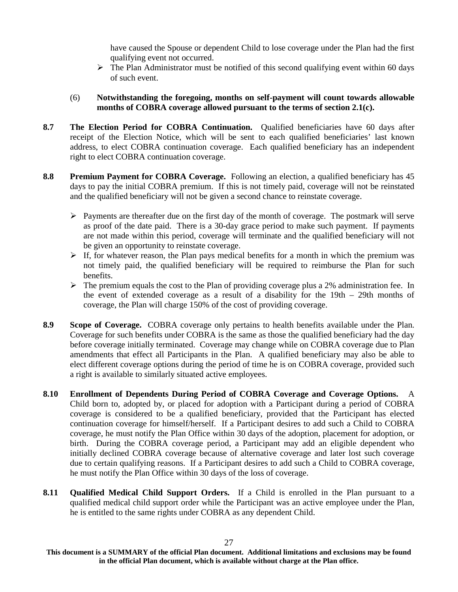have caused the Spouse or dependent Child to lose coverage under the Plan had the first qualifying event not occurred.

- $\triangleright$  The Plan Administrator must be notified of this second qualifying event within 60 days of such event.
- (6) **Notwithstanding the foregoing, months on self-payment will count towards allowable months of COBRA coverage allowed pursuant to the terms of section 2.1(c).**
- **8.7 The Election Period for COBRA Continuation.** Qualified beneficiaries have 60 days after receipt of the Election Notice, which will be sent to each qualified beneficiaries' last known address, to elect COBRA continuation coverage. Each qualified beneficiary has an independent right to elect COBRA continuation coverage.
- **8.8 Premium Payment for COBRA Coverage.** Following an election, a qualified beneficiary has 45 days to pay the initial COBRA premium. If this is not timely paid, coverage will not be reinstated and the qualified beneficiary will not be given a second chance to reinstate coverage.
	- $\triangleright$  Payments are thereafter due on the first day of the month of coverage. The postmark will serve as proof of the date paid. There is a 30-day grace period to make such payment. If payments are not made within this period, coverage will terminate and the qualified beneficiary will not be given an opportunity to reinstate coverage.
	- $\triangleright$  If, for whatever reason, the Plan pays medical benefits for a month in which the premium was not timely paid, the qualified beneficiary will be required to reimburse the Plan for such benefits.
	- $\triangleright$  The premium equals the cost to the Plan of providing coverage plus a 2% administration fee. In the event of extended coverage as a result of a disability for the 19th – 29th months of coverage, the Plan will charge 150% of the cost of providing coverage.
- **8.9 Scope of Coverage.** COBRA coverage only pertains to health benefits available under the Plan. Coverage for such benefits under COBRA is the same as those the qualified beneficiary had the day before coverage initially terminated. Coverage may change while on COBRA coverage due to Plan amendments that effect all Participants in the Plan. A qualified beneficiary may also be able to elect different coverage options during the period of time he is on COBRA coverage, provided such a right is available to similarly situated active employees.
- **8.10 Enrollment of Dependents During Period of COBRA Coverage and Coverage Options.** A Child born to, adopted by, or placed for adoption with a Participant during a period of COBRA coverage is considered to be a qualified beneficiary, provided that the Participant has elected continuation coverage for himself/herself. If a Participant desires to add such a Child to COBRA coverage, he must notify the Plan Office within 30 days of the adoption, placement for adoption, or birth. During the COBRA coverage period, a Participant may add an eligible dependent who initially declined COBRA coverage because of alternative coverage and later lost such coverage due to certain qualifying reasons. If a Participant desires to add such a Child to COBRA coverage, he must notify the Plan Office within 30 days of the loss of coverage.
- **8.11 Qualified Medical Child Support Orders.** If a Child is enrolled in the Plan pursuant to a qualified medical child support order while the Participant was an active employee under the Plan, he is entitled to the same rights under COBRA as any dependent Child.

**This document is a SUMMARY of the official Plan document. Additional limitations and exclusions may be found in the official Plan document, which is available without charge at the Plan office.**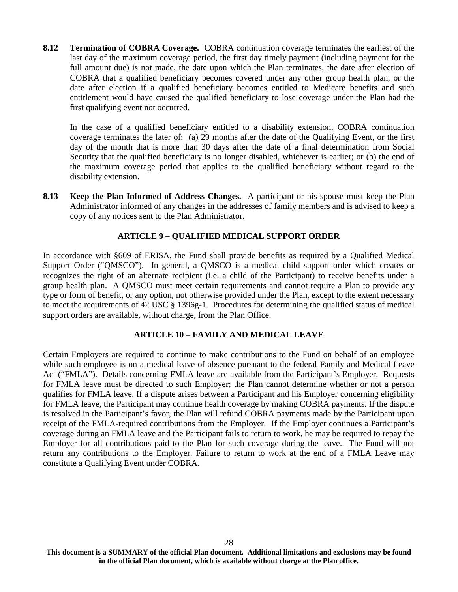**8.12 Termination of COBRA Coverage.** COBRA continuation coverage terminates the earliest of the last day of the maximum coverage period, the first day timely payment (including payment for the full amount due) is not made, the date upon which the Plan terminates, the date after election of COBRA that a qualified beneficiary becomes covered under any other group health plan, or the date after election if a qualified beneficiary becomes entitled to Medicare benefits and such entitlement would have caused the qualified beneficiary to lose coverage under the Plan had the first qualifying event not occurred.

In the case of a qualified beneficiary entitled to a disability extension, COBRA continuation coverage terminates the later of: (a) 29 months after the date of the Qualifying Event, or the first day of the month that is more than 30 days after the date of a final determination from Social Security that the qualified beneficiary is no longer disabled, whichever is earlier; or (b) the end of the maximum coverage period that applies to the qualified beneficiary without regard to the disability extension.

**8.13 Keep the Plan Informed of Address Changes.** A participant or his spouse must keep the Plan Administrator informed of any changes in the addresses of family members and is advised to keep a copy of any notices sent to the Plan Administrator.

# **ARTICLE 9 – QUALIFIED MEDICAL SUPPORT ORDER**

In accordance with §609 of ERISA, the Fund shall provide benefits as required by a Qualified Medical Support Order ("QMSCO"). In general, a QMSCO is a medical child support order which creates or recognizes the right of an alternate recipient (i.e. a child of the Participant) to receive benefits under a group health plan. A QMSCO must meet certain requirements and cannot require a Plan to provide any type or form of benefit, or any option, not otherwise provided under the Plan, except to the extent necessary to meet the requirements of 42 USC § 1396g-1. Procedures for determining the qualified status of medical support orders are available, without charge, from the Plan Office.

#### **ARTICLE 10 – FAMILY AND MEDICAL LEAVE**

Certain Employers are required to continue to make contributions to the Fund on behalf of an employee while such employee is on a medical leave of absence pursuant to the federal Family and Medical Leave Act ("FMLA"). Details concerning FMLA leave are available from the Participant's Employer. Requests for FMLA leave must be directed to such Employer; the Plan cannot determine whether or not a person qualifies for FMLA leave. If a dispute arises between a Participant and his Employer concerning eligibility for FMLA leave, the Participant may continue health coverage by making COBRA payments. If the dispute is resolved in the Participant's favor, the Plan will refund COBRA payments made by the Participant upon receipt of the FMLA-required contributions from the Employer. If the Employer continues a Participant's coverage during an FMLA leave and the Participant fails to return to work, he may be required to repay the Employer for all contributions paid to the Plan for such coverage during the leave. The Fund will not return any contributions to the Employer. Failure to return to work at the end of a FMLA Leave may constitute a Qualifying Event under COBRA.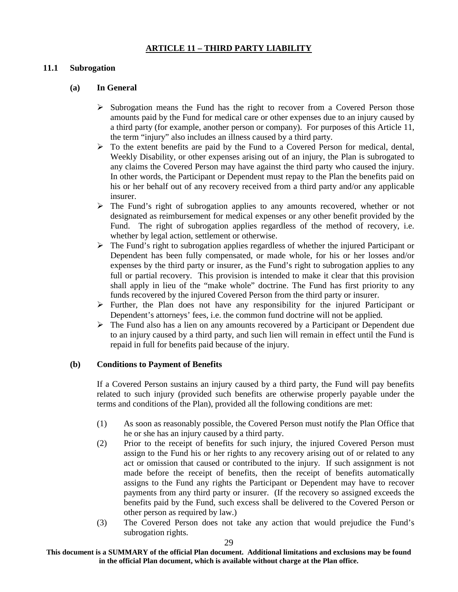#### **ARTICLE 11 – THIRD PARTY LIABILITY**

#### **11.1 Subrogation**

### **(a) In General**

- $\triangleright$  Subrogation means the Fund has the right to recover from a Covered Person those amounts paid by the Fund for medical care or other expenses due to an injury caused by a third party (for example, another person or company). For purposes of this Article 11, the term "injury" also includes an illness caused by a third party.
- $\triangleright$  To the extent benefits are paid by the Fund to a Covered Person for medical, dental, Weekly Disability, or other expenses arising out of an injury, the Plan is subrogated to any claims the Covered Person may have against the third party who caused the injury. In other words, the Participant or Dependent must repay to the Plan the benefits paid on his or her behalf out of any recovery received from a third party and/or any applicable insurer.
- $\triangleright$  The Fund's right of subrogation applies to any amounts recovered, whether or not designated as reimbursement for medical expenses or any other benefit provided by the Fund. The right of subrogation applies regardless of the method of recovery, i.e. whether by legal action, settlement or otherwise.
- $\triangleright$  The Fund's right to subrogation applies regardless of whether the injured Participant or Dependent has been fully compensated, or made whole, for his or her losses and/or expenses by the third party or insurer, as the Fund's right to subrogation applies to any full or partial recovery. This provision is intended to make it clear that this provision shall apply in lieu of the "make whole" doctrine. The Fund has first priority to any funds recovered by the injured Covered Person from the third party or insurer.
- $\triangleright$  Further, the Plan does not have any responsibility for the injured Participant or Dependent's attorneys' fees, i.e. the common fund doctrine will not be applied.
- $\triangleright$  The Fund also has a lien on any amounts recovered by a Participant or Dependent due to an injury caused by a third party, and such lien will remain in effect until the Fund is repaid in full for benefits paid because of the injury.

#### **(b) Conditions to Payment of Benefits**

If a Covered Person sustains an injury caused by a third party, the Fund will pay benefits related to such injury (provided such benefits are otherwise properly payable under the terms and conditions of the Plan), provided all the following conditions are met:

- (1) As soon as reasonably possible, the Covered Person must notify the Plan Office that he or she has an injury caused by a third party.
- (2) Prior to the receipt of benefits for such injury, the injured Covered Person must assign to the Fund his or her rights to any recovery arising out of or related to any act or omission that caused or contributed to the injury. If such assignment is not made before the receipt of benefits, then the receipt of benefits automatically assigns to the Fund any rights the Participant or Dependent may have to recover payments from any third party or insurer. (If the recovery so assigned exceeds the benefits paid by the Fund, such excess shall be delivered to the Covered Person or other person as required by law.)
- (3) The Covered Person does not take any action that would prejudice the Fund's subrogation rights.

**This document is a SUMMARY of the official Plan document. Additional limitations and exclusions may be found in the official Plan document, which is available without charge at the Plan office.**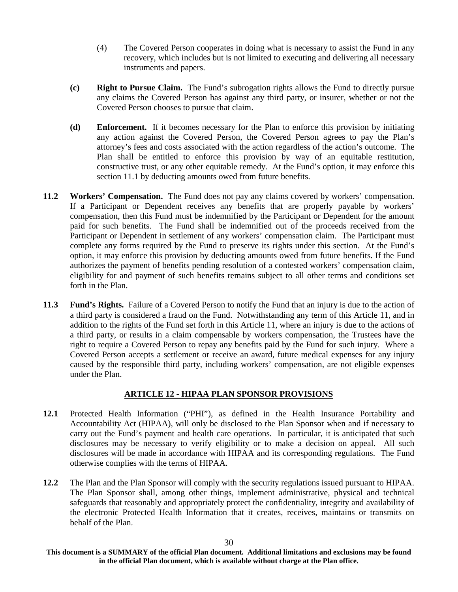- (4) The Covered Person cooperates in doing what is necessary to assist the Fund in any recovery, which includes but is not limited to executing and delivering all necessary instruments and papers.
- **(c) Right to Pursue Claim.** The Fund's subrogation rights allows the Fund to directly pursue any claims the Covered Person has against any third party, or insurer, whether or not the Covered Person chooses to pursue that claim.
- **(d) Enforcement.** If it becomes necessary for the Plan to enforce this provision by initiating any action against the Covered Person, the Covered Person agrees to pay the Plan's attorney's fees and costs associated with the action regardless of the action's outcome. The Plan shall be entitled to enforce this provision by way of an equitable restitution, constructive trust, or any other equitable remedy. At the Fund's option, it may enforce this section 11.1 by deducting amounts owed from future benefits.
- **11.2 Workers' Compensation.** The Fund does not pay any claims covered by workers' compensation. If a Participant or Dependent receives any benefits that are properly payable by workers' compensation, then this Fund must be indemnified by the Participant or Dependent for the amount paid for such benefits. The Fund shall be indemnified out of the proceeds received from the Participant or Dependent in settlement of any workers' compensation claim. The Participant must complete any forms required by the Fund to preserve its rights under this section. At the Fund's option, it may enforce this provision by deducting amounts owed from future benefits. If the Fund authorizes the payment of benefits pending resolution of a contested workers' compensation claim, eligibility for and payment of such benefits remains subject to all other terms and conditions set forth in the Plan.
- **11.3 Fund's Rights.** Failure of a Covered Person to notify the Fund that an injury is due to the action of a third party is considered a fraud on the Fund. Notwithstanding any term of this Article 11, and in addition to the rights of the Fund set forth in this Article 11, where an injury is due to the actions of a third party, or results in a claim compensable by workers compensation, the Trustees have the right to require a Covered Person to repay any benefits paid by the Fund for such injury. Where a Covered Person accepts a settlement or receive an award, future medical expenses for any injury caused by the responsible third party, including workers' compensation, are not eligible expenses under the Plan.

#### **ARTICLE 12 - HIPAA PLAN SPONSOR PROVISIONS**

- **12.1** Protected Health Information ("PHI"), as defined in the Health Insurance Portability and Accountability Act (HIPAA), will only be disclosed to the Plan Sponsor when and if necessary to carry out the Fund's payment and health care operations. In particular, it is anticipated that such disclosures may be necessary to verify eligibility or to make a decision on appeal. All such disclosures will be made in accordance with HIPAA and its corresponding regulations. The Fund otherwise complies with the terms of HIPAA.
- **12.2** The Plan and the Plan Sponsor will comply with the security regulations issued pursuant to HIPAA. The Plan Sponsor shall, among other things, implement administrative, physical and technical safeguards that reasonably and appropriately protect the confidentiality, integrity and availability of the electronic Protected Health Information that it creates, receives, maintains or transmits on behalf of the Plan.

**This document is a SUMMARY of the official Plan document. Additional limitations and exclusions may be found in the official Plan document, which is available without charge at the Plan office.**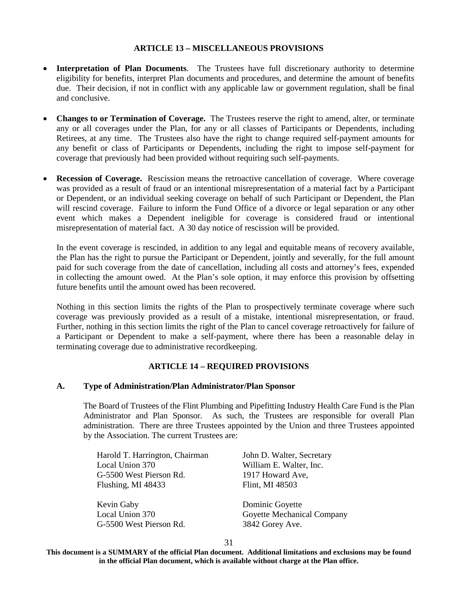#### **ARTICLE 13 – MISCELLANEOUS PROVISIONS**

- **Interpretation of Plan Documents**. The Trustees have full discretionary authority to determine eligibility for benefits, interpret Plan documents and procedures, and determine the amount of benefits due. Their decision, if not in conflict with any applicable law or government regulation, shall be final and conclusive.
- **Changes to or Termination of Coverage.** The Trustees reserve the right to amend, alter, or terminate any or all coverages under the Plan, for any or all classes of Participants or Dependents, including Retirees, at any time. The Trustees also have the right to change required self-payment amounts for any benefit or class of Participants or Dependents, including the right to impose self-payment for coverage that previously had been provided without requiring such self-payments.
- **Recession of Coverage.** Rescission means the retroactive cancellation of coverage. Where coverage was provided as a result of fraud or an intentional misrepresentation of a material fact by a Participant or Dependent, or an individual seeking coverage on behalf of such Participant or Dependent, the Plan will rescind coverage. Failure to inform the Fund Office of a divorce or legal separation or any other event which makes a Dependent ineligible for coverage is considered fraud or intentional misrepresentation of material fact. A 30 day notice of rescission will be provided.

In the event coverage is rescinded, in addition to any legal and equitable means of recovery available, the Plan has the right to pursue the Participant or Dependent, jointly and severally, for the full amount paid for such coverage from the date of cancellation, including all costs and attorney's fees, expended in collecting the amount owed. At the Plan's sole option, it may enforce this provision by offsetting future benefits until the amount owed has been recovered.

Nothing in this section limits the rights of the Plan to prospectively terminate coverage where such coverage was previously provided as a result of a mistake, intentional misrepresentation, or fraud. Further, nothing in this section limits the right of the Plan to cancel coverage retroactively for failure of a Participant or Dependent to make a self-payment, where there has been a reasonable delay in terminating coverage due to administrative recordkeeping.

#### **ARTICLE 14 – REQUIRED PROVISIONS**

#### **A. Type of Administration/Plan Administrator/Plan Sponsor**

The Board of Trustees of the Flint Plumbing and Pipefitting Industry Health Care Fund is the Plan Administrator and Plan Sponsor. As such, the Trustees are responsible for overall Plan administration. There are three Trustees appointed by the Union and three Trustees appointed by the Association. The current Trustees are:

Harold T. Harrington, Chairman John D. Walter, Secretary Local Union 370 William E. Walter, Inc. G-5500 West Pierson Rd. 1917 Howard Ave, Flushing, MI 48433 Flint, MI 48503

Kevin Gaby Dominic Goyette G-5500 West Pierson Rd. 3842 Gorey Ave.

Local Union 370 Goyette Mechanical Company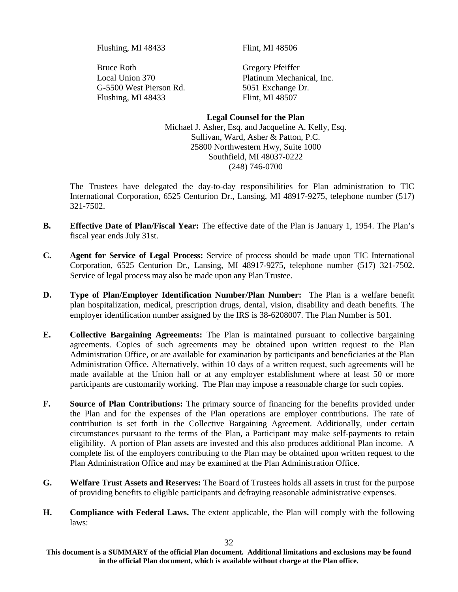Flushing, MI 48433 Flint, MI 48506

Bruce Roth Gregory Pfeiffer G-5500 West Pierson Rd. 5051 Exchange Dr. Flushing, MI 48433 Flint, MI 48507

Local Union 370 Platinum Mechanical, Inc.

**Legal Counsel for the Plan** Michael J. Asher, Esq. and Jacqueline A. Kelly, Esq. Sullivan, Ward, Asher & Patton, P.C. 25800 Northwestern Hwy, Suite 1000 Southfield, MI 48037-0222 (248) 746-0700

The Trustees have delegated the day-to-day responsibilities for Plan administration to TIC International Corporation, 6525 Centurion Dr., Lansing, MI 48917-9275, telephone number (517) 321-7502.

- **B. Effective Date of Plan/Fiscal Year:** The effective date of the Plan is January 1, 1954. The Plan's fiscal year ends July 31st.
- **C. Agent for Service of Legal Process:** Service of process should be made upon TIC International Corporation, 6525 Centurion Dr., Lansing, MI 48917-9275, telephone number (517) 321-7502. Service of legal process may also be made upon any Plan Trustee.
- **D. Type of Plan/Employer Identification Number/Plan Number:** The Plan is a welfare benefit plan hospitalization, medical, prescription drugs, dental, vision, disability and death benefits. The employer identification number assigned by the IRS is 38-6208007. The Plan Number is 501.
- **E. Collective Bargaining Agreements:** The Plan is maintained pursuant to collective bargaining agreements. Copies of such agreements may be obtained upon written request to the Plan Administration Office, or are available for examination by participants and beneficiaries at the Plan Administration Office. Alternatively, within 10 days of a written request, such agreements will be made available at the Union hall or at any employer establishment where at least 50 or more participants are customarily working. The Plan may impose a reasonable charge for such copies.
- **F. Source of Plan Contributions:** The primary source of financing for the benefits provided under the Plan and for the expenses of the Plan operations are employer contributions. The rate of contribution is set forth in the Collective Bargaining Agreement. Additionally, under certain circumstances pursuant to the terms of the Plan, a Participant may make self-payments to retain eligibility. A portion of Plan assets are invested and this also produces additional Plan income. A complete list of the employers contributing to the Plan may be obtained upon written request to the Plan Administration Office and may be examined at the Plan Administration Office.
- **G. Welfare Trust Assets and Reserves:** The Board of Trustees holds all assets in trust for the purpose of providing benefits to eligible participants and defraying reasonable administrative expenses.
- **H. Compliance with Federal Laws.** The extent applicable, the Plan will comply with the following laws:

**This document is a SUMMARY of the official Plan document. Additional limitations and exclusions may be found in the official Plan document, which is available without charge at the Plan office.**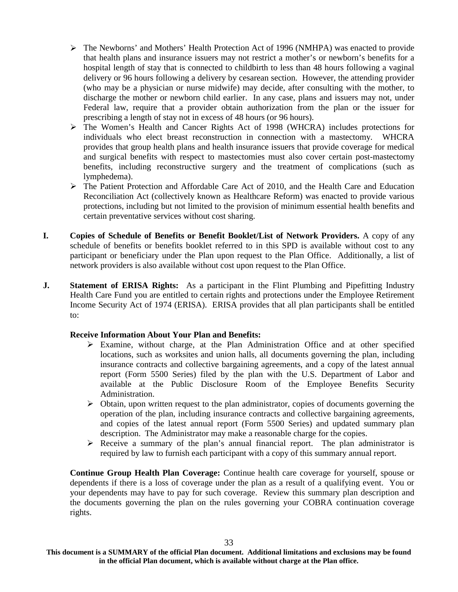- The Newborns' and Mothers' Health Protection Act of 1996 (NMHPA) was enacted to provide that health plans and insurance issuers may not restrict a mother's or newborn's benefits for a hospital length of stay that is connected to childbirth to less than 48 hours following a vaginal delivery or 96 hours following a delivery by cesarean section. However, the attending provider (who may be a physician or nurse midwife) may decide, after consulting with the mother, to discharge the mother or newborn child earlier. In any case, plans and issuers may not, under Federal law, require that a provider obtain authorization from the plan or the issuer for prescribing a length of stay not in excess of 48 hours (or 96 hours).
- The Women's Health and Cancer Rights Act of 1998 (WHCRA) includes protections for individuals who elect breast reconstruction in connection with a mastectomy. WHCRA provides that group health plans and health insurance issuers that provide coverage for medical and surgical benefits with respect to mastectomies must also cover certain post-mastectomy benefits, including reconstructive surgery and the treatment of complications (such as lymphedema).
- The Patient Protection and Affordable Care Act of 2010, and the Health Care and Education Reconciliation Act (collectively known as Healthcare Reform) was enacted to provide various protections, including but not limited to the provision of minimum essential health benefits and certain preventative services without cost sharing.
- **I. Copies of Schedule of Benefits or Benefit Booklet/List of Network Providers.** A copy of any schedule of benefits or benefits booklet referred to in this SPD is available without cost to any participant or beneficiary under the Plan upon request to the Plan Office. Additionally, a list of network providers is also available without cost upon request to the Plan Office.
- **J.** Statement of ERISA Rights: As a participant in the Flint Plumbing and Pipefitting Industry Health Care Fund you are entitled to certain rights and protections under the Employee Retirement Income Security Act of 1974 (ERISA). ERISA provides that all plan participants shall be entitled to:

#### **Receive Information About Your Plan and Benefits:**

- $\triangleright$  Examine, without charge, at the Plan Administration Office and at other specified locations, such as worksites and union halls, all documents governing the plan, including insurance contracts and collective bargaining agreements, and a copy of the latest annual report (Form 5500 Series) filed by the plan with the U.S. Department of Labor and available at the Public Disclosure Room of the Employee Benefits Security Administration.
- $\triangleright$  Obtain, upon written request to the plan administrator, copies of documents governing the operation of the plan, including insurance contracts and collective bargaining agreements, and copies of the latest annual report (Form 5500 Series) and updated summary plan description. The Administrator may make a reasonable charge for the copies.
- $\triangleright$  Receive a summary of the plan's annual financial report. The plan administrator is required by law to furnish each participant with a copy of this summary annual report.

**Continue Group Health Plan Coverage:** Continue health care coverage for yourself, spouse or dependents if there is a loss of coverage under the plan as a result of a qualifying event. You or your dependents may have to pay for such coverage. Review this summary plan description and the documents governing the plan on the rules governing your COBRA continuation coverage rights.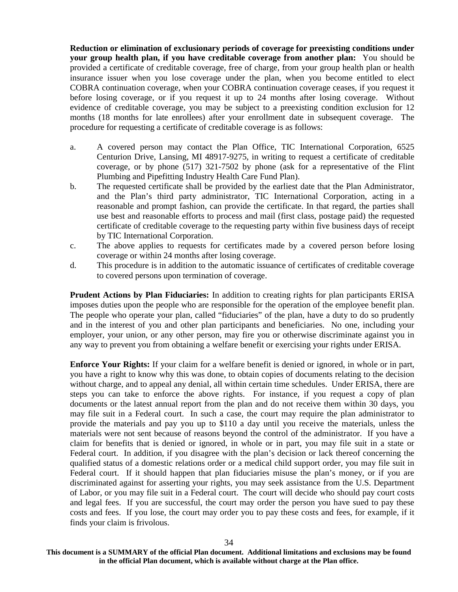**Reduction or elimination of exclusionary periods of coverage for preexisting conditions under your group health plan, if you have creditable coverage from another plan:** You should be provided a certificate of creditable coverage, free of charge, from your group health plan or health insurance issuer when you lose coverage under the plan, when you become entitled to elect COBRA continuation coverage, when your COBRA continuation coverage ceases, if you request it before losing coverage, or if you request it up to 24 months after losing coverage. Without evidence of creditable coverage, you may be subject to a preexisting condition exclusion for 12 months (18 months for late enrollees) after your enrollment date in subsequent coverage. The procedure for requesting a certificate of creditable coverage is as follows:

- a. A covered person may contact the Plan Office, TIC International Corporation, 6525 Centurion Drive, Lansing, MI 48917-9275, in writing to request a certificate of creditable coverage, or by phone (517) 321-7502 by phone (ask for a representative of the Flint Plumbing and Pipefitting Industry Health Care Fund Plan).
- b. The requested certificate shall be provided by the earliest date that the Plan Administrator, and the Plan's third party administrator, TIC International Corporation, acting in a reasonable and prompt fashion, can provide the certificate. In that regard, the parties shall use best and reasonable efforts to process and mail (first class, postage paid) the requested certificate of creditable coverage to the requesting party within five business days of receipt by TIC International Corporation.
- c. The above applies to requests for certificates made by a covered person before losing coverage or within 24 months after losing coverage.
- d. This procedure is in addition to the automatic issuance of certificates of creditable coverage to covered persons upon termination of coverage.

**Prudent Actions by Plan Fiduciaries:** In addition to creating rights for plan participants ERISA imposes duties upon the people who are responsible for the operation of the employee benefit plan. The people who operate your plan, called "fiduciaries" of the plan, have a duty to do so prudently and in the interest of you and other plan participants and beneficiaries. No one, including your employer, your union, or any other person, may fire you or otherwise discriminate against you in any way to prevent you from obtaining a welfare benefit or exercising your rights under ERISA.

**Enforce Your Rights:** If your claim for a welfare benefit is denied or ignored, in whole or in part, you have a right to know why this was done, to obtain copies of documents relating to the decision without charge, and to appeal any denial, all within certain time schedules. Under ERISA, there are steps you can take to enforce the above rights. For instance, if you request a copy of plan documents or the latest annual report from the plan and do not receive them within 30 days, you may file suit in a Federal court. In such a case, the court may require the plan administrator to provide the materials and pay you up to \$110 a day until you receive the materials, unless the materials were not sent because of reasons beyond the control of the administrator. If you have a claim for benefits that is denied or ignored, in whole or in part, you may file suit in a state or Federal court. In addition, if you disagree with the plan's decision or lack thereof concerning the qualified status of a domestic relations order or a medical child support order, you may file suit in Federal court. If it should happen that plan fiduciaries misuse the plan's money, or if you are discriminated against for asserting your rights, you may seek assistance from the U.S. Department of Labor, or you may file suit in a Federal court. The court will decide who should pay court costs and legal fees. If you are successful, the court may order the person you have sued to pay these costs and fees. If you lose, the court may order you to pay these costs and fees, for example, if it finds your claim is frivolous.